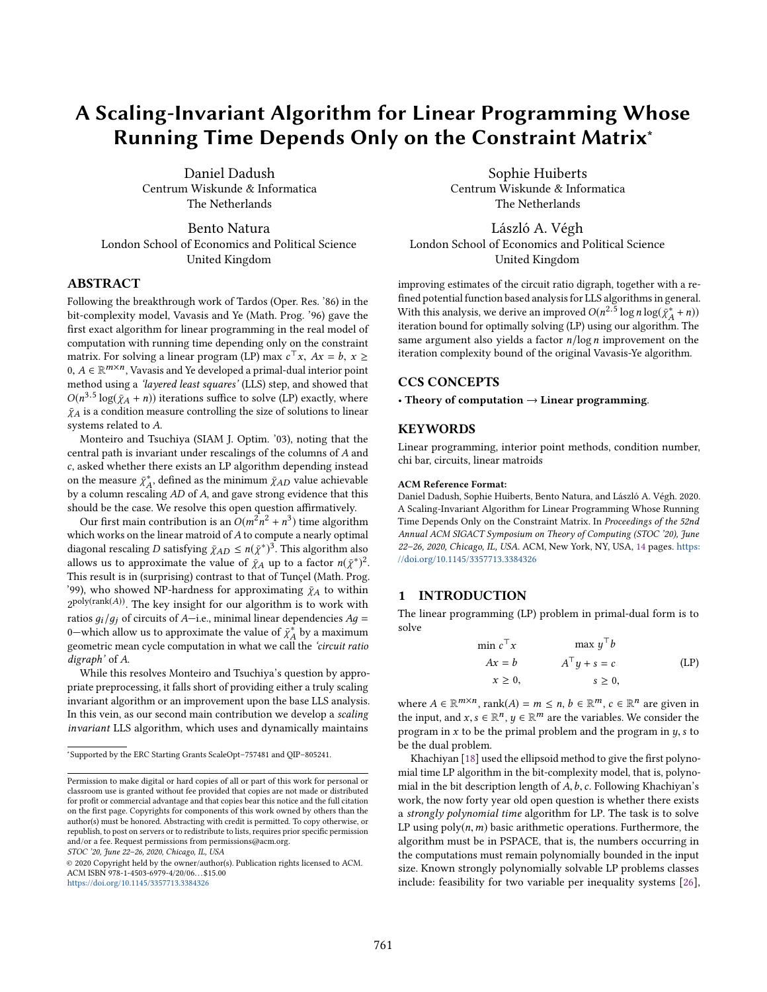# A Scaling-Invariant Algorithm for Linear Programming Whose Running Time Depends Only on the Constraint Matrix<sup>∗</sup>

Daniel Dadush Centrum Wiskunde & Informatica The Netherlands

Bento Natura London School of Economics and Political Science United Kingdom

#### ABSTRACT

Following the breakthrough work of Tardos (Oper. Res. '86) in the bit-complexity model, Vavasis and Ye (Math. Prog. '96) gave the first exact algorithm for linear programming in the real model of computation with running time depending only on the constraint matrix. For solving a linear program (LP) max  $c^T x$ ,  $Ax = b$ ,  $x \ge 0$ ,  $A \in \mathbb{R}^{m \times n}$ . Vaugsis and Ve developed a primal-dual interior point  $0, A \in \mathbb{R}^{m \times n}$ , Vavasis and Ye developed a primal-dual interior point<br>method using a *Javared legst squares'* (LLS) step, and showed that method using a 'layered least squares' (LLS) step, and showed that  $O(n^{3.5} \log(\bar{\chi}_A + n))$  iterations suffice to solve (LP) exactly, where  $\bar{\chi}_A$  is a condition measure controlling the size of solutions to linear  $\bar{\chi}_A$  is a condition measure controlling the size of solutions to linear systems related to A.

Monteiro and Tsuchiya (SIAM J. Optim. '03), noting that the central path is invariant under rescalings of the columns of A and c, asked whether there exists an LP algorithm depending instead on the measure  $\bar{\chi}^*_{A}$ , defined as the minimum  $\bar{\chi}_{AD}$  value achievable<br>by a column rescaling 4D of 4 and gave strong evidence that this by a column rescaling AD of A, and gave strong evidence that this<br>should be the case. We resolve this open question affirmatively. should be the case. We resolve this open question affirmatively.

Our first main contribution is an  $O(m^2n^2 + n^3)$  time algorithm which works on the linear matroid of A to compute a nearly optimal diagonal rescaling D satisfying  $\bar{\chi}_{AD} \le n(\bar{\chi}^*)^3$ . This algorithm also<br>allows us to approximate the value of  $\bar{\chi}_A$  up to a factor  $n(\bar{\chi}^*)^2$ allows us to approximate the value of  $\bar{\chi}_A$  up to a factor  $n(\bar{\chi}^*)^2$ .<br>This result is in (curprising) contrast to that of Tuncel (Math Prog. This result is in (surprising) contrast to that of Tunçel (Math. Prog. '99), who showed NP-hardness for approximating  $\bar{\chi}_A$  to within  $2^{poly(rank(A))}$ . The key insight for our algorithm is to work with ratios  $g_i/g_j$  of circuits of A-i.e., minimal linear dependencies  $Ag =$ 0—which allow us to approximate the value of  $\bar{\chi}_A^*$  by a maximum<br>geometric mean cycle computation in what we call the *circuit ratio* geometric mean cycle computation in what we call the *'circuit ratio* digraph' of A.

While this resolves Monteiro and Tsuchiya's question by appropriate preprocessing, it falls short of providing either a truly scaling invariant algorithm or an improvement upon the base LLS analysis. In this vein, as our second main contribution we develop a scaling invariant LLS algorithm, which uses and dynamically maintains

STOC '20, June 22–26, 2020, Chicago, IL, USA

© 2020 Copyright held by the owner/author(s). Publication rights licensed to ACM. ACM ISBN 978-1-4503-6979-4/20/06. . . \$15.00 <https://doi.org/10.1145/3357713.3384326>

Sophie Huiberts Centrum Wiskunde & Informatica The Netherlands

László A. Végh London School of Economics and Political Science United Kingdom

improving estimates of the circuit ratio digraph, together with a refined potential function based analysis for LLS algorithms in general. With this analysis, we derive an improved  $O(n^{2.5} \log n \log(\bar{\chi}_A^* + n))$ <br>iteration bound for optimally solving (LP) using our algorithm. The iteration bound for optimally solving  $(LP)$  using our algorithm. The same argument also yields a factor  $n/log n$  improvement on the iteration complexity bound of the original Vavasis-Ye algorithm.

### CCS CONCEPTS

• Theory of computation  $\rightarrow$  Linear programming.

#### **KEYWORDS**

Linear programming, interior point methods, condition number, chi bar, circuits, linear matroids

#### ACM Reference Format:

Daniel Dadush, Sophie Huiberts, Bento Natura, and László A. Végh. 2020. A Scaling-Invariant Algorithm for Linear Programming Whose Running Time Depends Only on the Constraint Matrix. In Proceedings of the 52nd Annual ACM SIGACT Symposium on Theory of Computing (STOC '20), June 22–26, 2020, Chicago, IL, USA. ACM, New York, NY, USA, 14 pages. [https:](https://doi.org/10.1145/3357713.3384326) [//doi.org/10.1145/3357713.3384326](https://doi.org/10.1145/3357713.3384326)

## 1 INTRODUCTION

The linear programming (LP) problem in primal-dual form is to solve

$$
\min c^{\top} x \qquad \max y^{\top} b
$$
  
 
$$
Ax = b \qquad A^{\top} y + s = c \qquad \text{(LP)}
$$
  
 
$$
x \ge 0, \qquad s \ge 0,
$$

where  $A \in \mathbb{R}^{m \times n}$ , rank $(A) = m \le n$ ,  $b \in \mathbb{R}^m$ ,  $c \in \mathbb{R}^n$  are given in the input and  $x \in \mathbb{R}^n$ ,  $u \in \mathbb{R}^m$  are the variables. We consider the the input, and  $x, s \in \mathbb{R}^n$ ,  $y \in \mathbb{R}^m$  are the variables. We consider the program in x to be the primal problem and the program in  $y, s$  to program in  $x$  to be the primal problem and the program in  $y$ ,  $s$  to be the dual problem.

Khachiyan [18] used the ellipsoid method to give the first polynomial time LP algorithm in the bit-complexity model, that is, polynomial in the bit description length of  $A, b, c$ . Following Khachiyan's work, the now forty year old open question is whether there exists a strongly polynomial time algorithm for LP. The task is to solve LP using  $poly(n, m)$  basic arithmetic operations. Furthermore, the algorithm must be in PSPACE, that is, the numbers occurring in the computations must remain polynomially bounded in the input size. Known strongly polynomially solvable LP problems classes include: feasibility for two variable per inequality systems [26],

<sup>∗</sup> Supported by the ERC Starting Grants ScaleOpt–757481 and QIP–805241.

Permission to make digital or hard copies of all or part of this work for personal or classroom use is granted without fee provided that copies are not made or distributed for profit or commercial advantage and that copies bear this notice and the full citation on the first page. Copyrights for components of this work owned by others than the author(s) must be honored. Abstracting with credit is permitted. To copy otherwise, or republish, to post on servers or to redistribute to lists, requires prior specific permission and/or a fee. Request permissions from permissions@acm.org.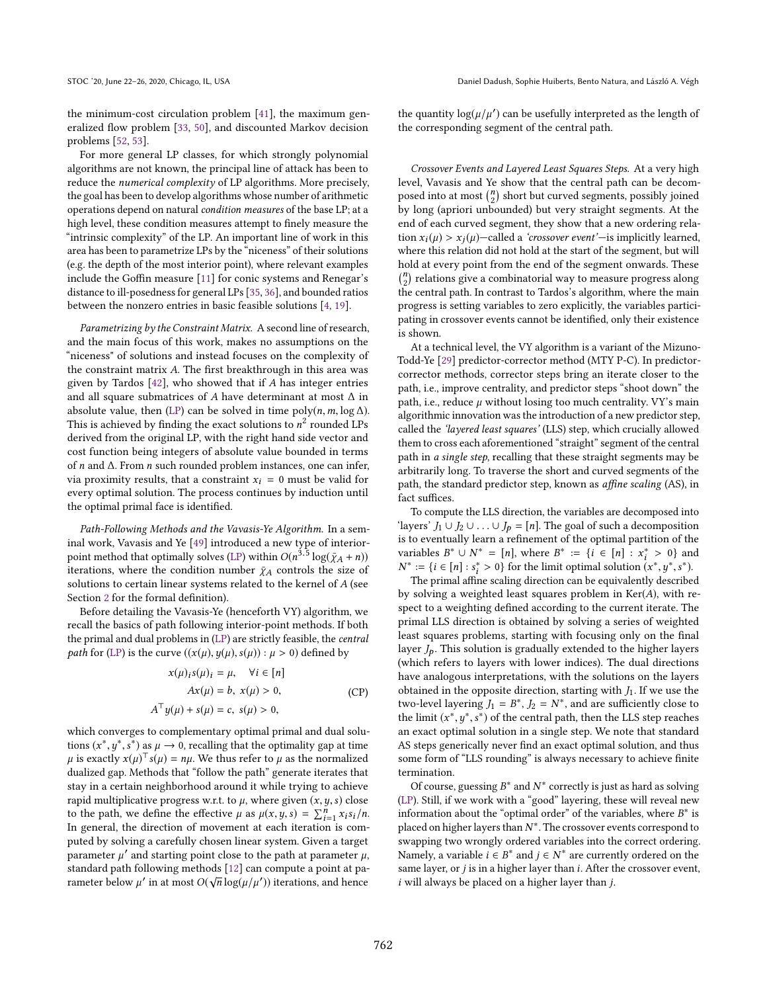the minimum-cost circulation problem [41], the maximum generalized flow problem [33, 50], and discounted Markov decision problems [52, 53].

For more general LP classes, for which strongly polynomial algorithms are not known, the principal line of attack has been to reduce the numerical complexity of LP algorithms. More precisely, the goal has been to develop algorithms whose number of arithmetic operations depend on natural condition measures of the base LP; at a high level, these condition measures attempt to finely measure the "intrinsic complexity" of the LP. An important line of work in this area has been to parametrize LPs by the "niceness" of their solutions (e.g. the depth of the most interior point), where relevant examples include the Goffin measure [11] for conic systems and Renegar's distance to ill-posedness for general LPs [35, 36], and bounded ratios between the nonzero entries in basic feasible solutions [4, 19].

Parametrizing by the Constraint Matrix. A second line of research, and the main focus of this work, makes no assumptions on the "niceness" of solutions and instead focuses on the complexity of the constraint matrix A. The first breakthrough in this area was given by Tardos  $[42]$ , who showed that if A has integer entries and all square submatrices of A have determinant at most  $\Delta$  in absolute value, then (LP) can be solved in time  $poly(n, m, \log \Delta)$ . This is achieved by finding the exact solutions to  $n^2$  rounded LPs<br>derived from the original IP with the right hand side vector and derived from the original LP, with the right hand side vector and cost function being integers of absolute value bounded in terms of n and ∆. From n such rounded problem instances, one can infer, via proximity results, that a constraint  $x_i = 0$  must be valid for every optimal solution. The process continues by induction until the optimal primal face is identified.

Path-Following Methods and the Vavasis-Ye Algorithm. In a seminal work, Vavasis and Ye [49] introduced a new type of interiorpoint method that optimally solves (LP) within  $O(n^{3.5} \log(\bar{\chi}_A + n))$ <br>iterations, where the condition number  $\bar{\nu}_A$  controls the size of iterations, where the condition number  $\bar{\chi}_A$  controls the size of solutions to certain linear systems related to the kernel of A (see Section 2 for the formal definition).

Before detailing the Vavasis-Ye (henceforth VY) algorithm, we recall the basics of path following interior-point methods. If both the primal and dual problems in (LP) are strictly feasible, the central *path* for (LP) is the curve  $((x(\mu), y(\mu), s(\mu)) : \mu > 0)$  defined by

$$
x(\mu)_i s(\mu)_i = \mu, \quad \forall i \in [n]
$$
  
 
$$
Ax(\mu) = b, x(\mu) > 0,
$$
  
 
$$
A^{\top} y(\mu) + s(\mu) = c, s(\mu) > 0,
$$
 (CP)

which converges to complementary optimal primal and dual solutions  $(x^*, y^*, s^*)$  as  $\mu \to 0$ , recalling that the optimality gap at time  $\mu$  is exactly  $x(\mu) \cdot f(\mu) = \mu \mu$ . We thus refer to  $\mu$  as the normalized  $\mu$  is exactly  $x(\mu)^T s(\mu) = n\mu$ . We thus refer to  $\mu$  as the normalized dualized gap. Methods that "follow the path" generate iterates that dualized gap. Methods that "follow the path" generate iterates that stay in a certain neighborhood around it while trying to achieve rapid multiplicative progress w.r.t. to  $\mu$ , where given  $(x, y, s)$  close to the path, we define the effective  $\mu$  as  $\mu(x, y, s) = \sum_{i=1}^{n} x_i s_i / n$ .<br>In general, the direction of movement at each iteration is comto the path, we define the effective  $\mu$  as  $\mu(x, y, s) = \sum_{i=1}^n x_i s_i / n$ .<br>In general, the direction of movement at each iteration is computed by solving a carefully chosen linear system. Given a target parameter  $\mu'$  and starting point close to the path at parameter  $\mu$ , standard path following methods [12] can compute a point at pa-√ rameter below  $\mu'$  in at most  $O(\sqrt{n} \log(\mu/\mu'))$  iterations, and hence

the quantity  $\log(\mu/\mu')$  can be usefully interpreted as the length of the corresponding segment of the central path the corresponding segment of the central path.

Crossover Events and Layered Least Squares Steps. At a very high level, Vavasis and Ye show that the central path can be decomposed into at most  $\binom{n}{2}$  short but curved segments, possibly joined by long (apriori unbounded) but very straight segments. At the end of each curved segment, they show that a new ordering relation  $x_i(\mu) > x_i(\mu)$ —called a 'crossover event'—is implicitly learned, where this relation did not hold at the start of the segment, but will hold at every point from the end of the segment onwards. These  $\binom{n}{2}$  relations give a combinatorial way to measure progress along the central path. In contrast to Tardos's algorithm, where the main progress is setting variables to zero explicitly, the variables participating in crossover events cannot be identified, only their existence is shown.

At a technical level, the VY algorithm is a variant of the Mizuno-Todd-Ye [29] predictor-corrector method (MTY P-C). In predictorcorrector methods, corrector steps bring an iterate closer to the path, i.e., improve centrality, and predictor steps "shoot down" the path, i.e., reduce  $\mu$  without losing too much centrality. VY's main algorithmic innovation was the introduction of a new predictor step, called the 'layered least squares' (LLS) step, which crucially allowed them to cross each aforementioned "straight" segment of the central path in a single step, recalling that these straight segments may be arbitrarily long. To traverse the short and curved segments of the path, the standard predictor step, known as affine scaling (AS), in fact suffices.

To compute the LLS direction, the variables are decomposed into 'layers'  $J_1 \cup J_2 \cup \ldots \cup J_p = [n]$ . The goal of such a decomposition is to eventually learn a refinement of the optimal partition of the variables  $B^* \cup N^* = [n]$ , where  $B^* := \{i \in [n] : x_i^* > 0\}$  and  $N^* := \{i \in [n] : x^* > 0\}$  for the limit optimal solution  $(x^*, y^*, z^*)$  $N^* := \{i \in [n] : s_i^* > 0\}$  for the limit optimal solution (<br>The primal affine scaling direction can be equivalent \* := { $i \in [n] : s_i^* > 0$ } for the limit optimal solution  $(x^*, y^*, s^*)$ .<br>The primal affine scaling direction can be equivalently describe

The primal affine scaling direction can be equivalently described by solving a weighted least squares problem in  $Ker(A)$ , with respect to a weighting defined according to the current iterate. The primal LLS direction is obtained by solving a series of weighted least squares problems, starting with focusing only on the final layer  $J_p$ . This solution is gradually extended to the higher layers (which refers to layers with lower indices). The dual directions have analogous interpretations, with the solutions on the layers obtained in the opposite direction, starting with  $J_1$ . If we use the two-level layering  $J_1 = B^*$ ,  $J_2 = N^*$ , and are sufficiently close to the limit  $(x^*, y^*, e^*)$  of the central path, then the U.S. step reaches the limit  $(x^*, y^*, s^*)$  of the central path, then the LLS step reaches<br>an exact optimal solution in a single step. We note that standard an exact optimal solution in a single step. We note that standard AS steps generically never find an exact optimal solution, and thus some form of "LLS rounding" is always necessary to achieve finite termination.

Of course, guessing  $B^*$  and  $N^*$  correctly is just as hard as solving<br><sup>2)</sup> Still if we work with a "good" layering, these will reveal new (LP). Still, if we work with a "good" layering, these will reveal new information about the "optimal order" of the variables, where  $B^*$  is<br>placed on bigher layers than  $N^*$ . The crossover events correspond to placed on higher layers than N<sup>∗</sup>. The crossover events correspond to experience and the correct ordering swapping two wrongly ordered variables into the correct ordering. Namely, a variable  $i \in B^*$  and  $j \in N^*$  are currently ordered on the same layer or i is in a bigher layer than i. After the crossover event same layer, or  $j$  is in a higher layer than  $i$ . After the crossover event,  $i$  will always be placed on a higher layer than  $j$ .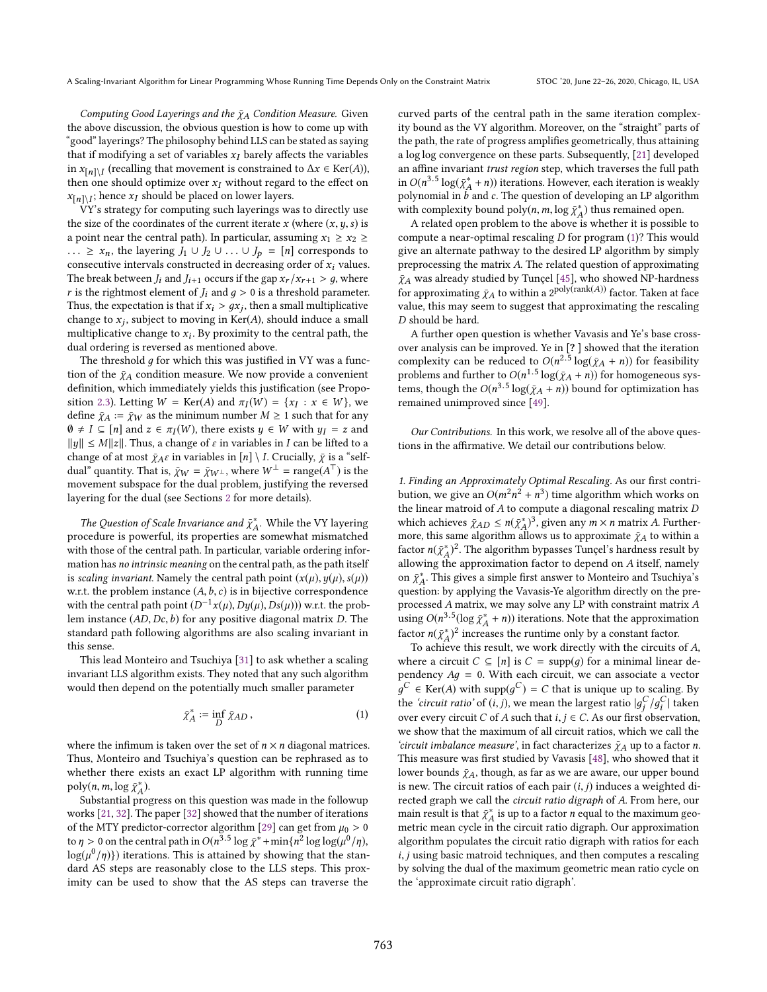Computing Good Layerings and the  $\bar{\chi}_A$  Condition Measure. Given the above discussion, the obvious question is how to come up with "good" layerings? The philosophy behind LLS can be stated as saying that if modifying a set of variables  $x_I$  barely affects the variables in  $x_{[n] \setminus I}$  (recalling that movement is constrained to  $\Delta x \in \text{Ker}(A)$ ), then one should ontimize over x<sub>x</sub> without regard to the effect on then one should optimize over  $x_I$  without regard to the effect on  $x_{[n] \setminus I}$ ; hence  $x_I$  should be placed on lower layers.<br>
W's strategy for computing such layerings way

VY's strategy for computing such layerings was to directly use the size of the coordinates of the current iterate x (where  $(x, y, s)$  is a point near the central path). In particular, assuming  $x_1 \ge x_2 \ge$ ... ≥  $x_n$ , the layering  $J_1 \cup J_2 \cup ... \cup J_p = [n]$  corresponds to consecutive intervals constructed in decreasing order of  $x_i$  values. The break between  $J_i$  and  $J_{i+1}$  occurs if the gap  $x_r / x_{r+1} > g$ , where r is the rightmost element of  $J_i$  and  $g > 0$  is a threshold parameter. Thus, the expectation is that if  $x_i > gx_j$ , then a small multiplicative<br>change to x. subject to moving in  $Ker(A)$ , should induce a small change to  $x_j$ , subject to moving in  $Ker(A)$ , should induce a small<br>multiplicative change to  $x_j$ . By provinity to the central path, the multiplicative change to  $x_i$ . By proximity to the central path, the dual ordering is reversed as mentioned above. dual ordering is reversed as mentioned above.

The threshold  $g$  for which this was justified in VY was a function of the  $\bar{\chi}_A$  condition measure. We now provide a convenient definition, which immediately yields this justification (see Proposition 2.3). Letting  $W = \text{Ker}(A)$  and  $\pi_I(W) = \{x_I : x \in W\}$ , we define  $\bar{x}_I := \bar{x}_{II}$  as the minimum number  $M > 1$  such that for any define  $\bar{\gamma}_A := \bar{\gamma}_W$  as the minimum number  $M \geq 1$  such that for any  $\emptyset \neq I \subseteq [n]$  and  $z \in \pi_I(W)$ , there exists  $y \in W$  with  $y_I = z$  and  $||u|| \leq M||z||$ . Thus a change of c in variables in L can be lifted to a <sup>∥</sup>y∥ ≤ M∥z∥. Thus, a change of ε in variables in I can be lifted to a change of at most  $\bar{\chi}_A \varepsilon$  in variables in  $[n] \setminus I$ . Crucially,  $\bar{\chi}$  is a "selfdual<sup>"</sup> quantity. That is,  $\bar{\chi}_W = \bar{\chi}_{W^{\perp}}$ , where  $W^{\perp} = \text{range}(A^{\top})$  is the movement subspace for the dual problem institution the reversed movement subspace for the dual problem, justifying the reversed layering for the dual (see Sections 2 for more details).

The Question of Scale Invariance and  $\bar{\chi}^*_{A}$ . While the VY layering ocedure is powerful, its properties are somewhat mismatched A procedure is powerful, its properties are somewhat mismatched with those of the central path. In particular, variable ordering information has no intrinsic meaning on the central path, as the path itself is scaling invariant. Namely the central path point  $(x(\mu), y(\mu), s(\mu))$ w.r.t. the problem instance  $(A, b, c)$  is in bijective correspondence with the central path point  $(D^{-1}x(\mu), Dy(\mu), Ds(\mu))$  w.r.t. the prob-<br>lem instance (AD Dc b) for any positive diagonal matrix D. The lem instance  $(AD, Dc, b)$  for any positive diagonal matrix  $D$ . The standard path following algorithms are also scaling invariant in this sense.

This lead Monteiro and Tsuchiya [31] to ask whether a scaling invariant LLS algorithm exists. They noted that any such algorithm would then depend on the potentially much smaller parameter

$$
\bar{\chi}_A^* := \inf_D \bar{\chi}_{AD},\tag{1}
$$

where the infimum is taken over the set of  $n \times n$  diagonal matrices. Thus, Monteiro and Tsuchiya's question can be rephrased as to whether there exists an exact LP algorithm with running time  $poly(n, m, \log \bar{\chi}_A^*)$ .<br>Substantial process

Substantial progress on this question was made in the followup works [21, 32]. The paper [32] showed that the number of iterations of the MTY predictor-corrector algorithm [29] can get from  $\mu_0 > 0$ to  $\eta > 0$  on the central path in  $O(n^{3.5} \log \bar{\chi}^* + \min{\{n^2 \log \log(\mu^0/\eta),\}})$  $\log(\mu^0/\eta)$ }) iterations. This is attained by showing that the stan-<br>dard AS steps are reasonably close to the US steps. This provdard AS steps are reasonably close to the LLS steps. This proximity can be used to show that the AS steps can traverse the

curved parts of the central path in the same iteration complexity bound as the VY algorithm. Moreover, on the "straight" parts of the path, the rate of progress amplifies geometrically, thus attaining a log log convergence on these parts. Subsequently, [21] developed an affine invariant trust region step, which traverses the full path in  $O(n^{3.5} \log(\chi_A^* + n))$  iterations. However, each iteration is weakly<br>polynomial in h and c. The question of developing an LP algorithm polynomial in  $\vec{b}$  and  $\vec{c}$ . The question of developing an LP algorithm<br>with complexity bound poly(n, m, log  $\vec{v}^*$ ) thus remained open with complexity bound poly $(n, m, \log \bar{\chi}_A^*)$  thus remained open.<br>A related open problem to the above is whether it is possible.

A A related open problem to the above is whether it is possible to compute a near-optimal rescaling  $D$  for program  $(1)$ ? This would give an alternate pathway to the desired LP algorithm by simply preprocessing the matrix A. The related question of approximating  $\bar{\chi}_A$  was already studied by Tunçel [45], who showed NP-hardness for approximating  $\bar{\chi}_A$  to within a 2<sup>poly(rank(A))</sup> factor. Taken at face<br>value, this may seem to suggest that approximating the rescaling value, this may seem to suggest that approximating the rescaling D should be hard.

A further open question is whether Vavasis and Ye's base crossover analysis can be improved. Ye in [? ] showed that the iteration complexity can be reduced to  $O(n^{2.5} \log(\bar{\chi}_A + n))$  for feasibility<br>problems and further to  $O(n^{1.5} \log(\bar{\chi}_A + n))$  for homogeneous sysproblems and further to  $O(n^{1.5} \log(\bar{\chi}_A + n))$  for homogeneous sys-<br>tems, though the  $O(n^{3.5} \log(\bar{\chi}_A + n))$  bound for optimization has tems, though the  $O(n^{3.5} \log(\bar{\chi}_A + n))$  bound for optimization has remained unimproved since [49].

Our Contributions. In this work, we resolve all of the above questions in the affirmative. We detail our contributions below.

1. Finding an Approximately Optimal Rescaling. As our first contribution, we give an  $O(m^2n^2 + n^3)$  time algorithm which works on the linear matrix O the linear matroid of  $A$  to compute a diagonal rescaling matrix  $D$ which achieves  $\bar{\chi}_{AD} \le n(\bar{\chi}_A^*)^3$ , given any  $m \times n$  matrix A. Furthermore this same algorithm allows us to approximate  $\bar{\nu}_A$  to within a more, this same algorithm allows us to approximate  $\bar{\chi}_A$  to within a<br>foctor  $n(\bar{v}^*)^2$ . The algorithm bypasses Tuncel's bardness result by factor  $n(\bar{\chi}_A^*)^2$ . The algorithm bypasses  $\bar{\chi}$  angel's hardness result by allowing the approximation factor to depend on A itself, namely allowing the approximation factor to depend on A itself, namely<br>on  $\bar{v}^*$ . This gives a simple first appure to Monteiro and Tsuchiva's on  $\bar{\chi}_A^*$ . This gives a simple first answer to Monteiro and Tsuchiya's question: by applying the Vayagie-Ve algorithm directly on the pre-A question: by applying the Vavasis-Ye algorithm directly on the preprocessed A matrix, we may solve any LP with constraint matrix A using  $O(n^{3.5}(\log \bar{\chi}_A^* + n))$  iterations. Note that the approximation<br>fector  $u(\bar{\chi}^*)^2$  increases the worting evolupline approximation factor  $n(\tilde{\chi}_A^*)^2$  increases the runtime only by a constant factor.<br>To achieve this result, we work directly with the circuits

To achieve this result, we work directly with the circuits of A,<br>nere a circuit  $C \subseteq [n]$  is  $C = \text{supp}(a)$  for a minimal linear dewhere a circuit  $C \subseteq [n]$  is  $C = \text{supp}(q)$  for a minimal linear dependency  $Ag = 0$ . With each circuit, we can associate a vector the 'circuit ratio' of  $(i, j)$ , we mean the largest ratio  $|g_j^C/g_i^C|$  taken<br>sure summarizable of  $f_A$  and that is i.e.  $C$ . As sure first absomation  $C \in \text{Ker}(A)$  with supp $(g^C) = C$  that is unique up to scaling. By over every circuit C of A such that  $i, j \in C$ . As our first observation, we colve that the maximum of all circuit ratios, which we call the we show that the maximum of all circuit ratios, which we call the 'circuit imbalance measure', in fact characterizes  $\bar{\chi}_A$  up to a factor n. This measure was first studied by Vavasis [48], who showed that it lower bounds  $\bar{\chi}_A$ , though, as far as we are aware, our upper bound is new. The circuit ratios of each pair  $(i, j)$  induces a weighted directed graph we call the circuit ratio digraph of A. From here, our main result is that  $\bar{\chi}_A^*$  is up to a factor *n* equal to the maximum geo-<br>metric mean cycle in the circuit ratio digraph. Our approximation metric mean cycle in the circuit ratio digraph. Our approximation algorithm populates the circuit ratio digraph with ratios for each i, j using basic matroid techniques, and then computes a rescaling by solving the dual of the maximum geometric mean ratio cycle on the 'approximate circuit ratio digraph'.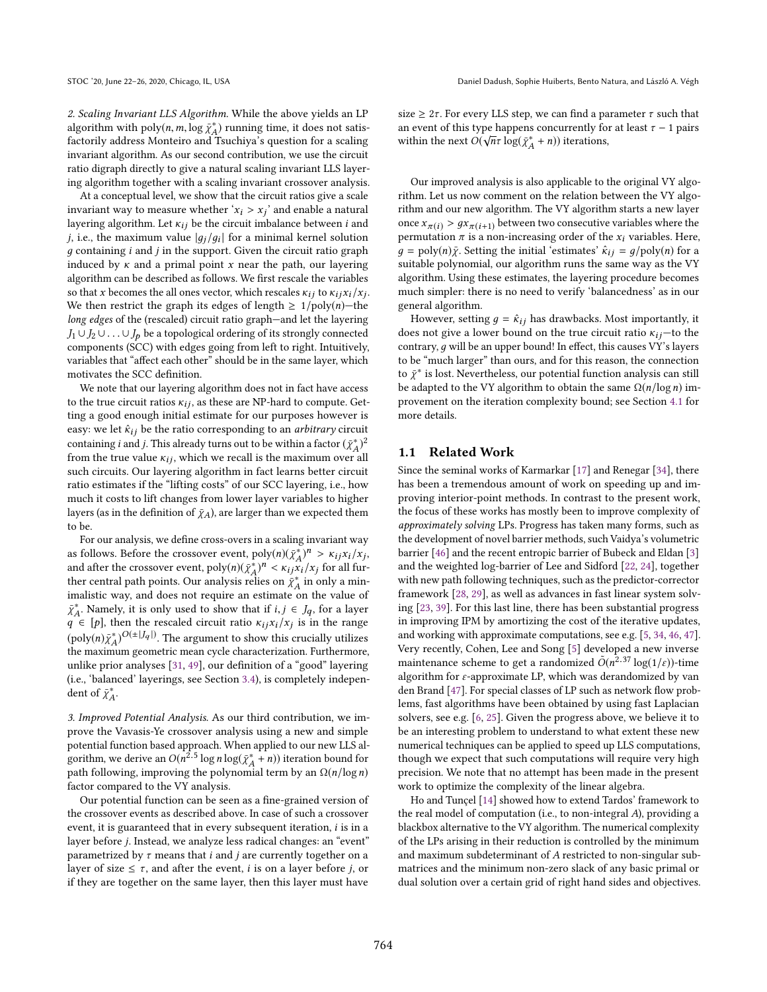2. Scaling Invariant LLS Algorithm. While the above yields an LP algorithm with poly $(n, m, \log \bar{X}_A^*)$  running time, it does not satis-<br>foctorily address Monteiro and Tsuchiya's question for a scaling factorily address Monteiro and Tsuchiva's question for a scaling invariant algorithm. As our second contribution, we use the circuit ratio digraph directly to give a natural scaling invariant LLS layering algorithm together with a scaling invariant crossover analysis.

At a conceptual level, we show that the circuit ratios give a scale invariant way to measure whether ' $x_i > x_j$ ' and enable a natural<br>layering algorithm. Let  $x_i$  be the circuit imbalance between i and layering algorithm. Let  $\kappa_{ij}$  be the circuit imbalance between *i* and j, i.e., the maximum value  $|g_j/g_i|$  for a minimal kernel solution a containing i and i in the support. Given the circuit ratio graph  $q$  containing  $i$  and  $j$  in the support. Given the circuit ratio graph induced by  $\kappa$  and a primal point  $x$  near the path, our layering algorithm can be described as follows. We first rescale the variables so that x becomes the all ones vector, which rescales  $\kappa_{ij}$  to  $\kappa_{ij} x_i / x_j$ .<br>We then restrict the graph its edges of langth  $> 1/\text{poly}(n)$ —the We then restrict the graph its edges of length  $\geq 1/poly(n)$ —the long edges of the (rescaled) circuit ratio graph—and let the layering  $J_1 \cup J_2 \cup \ldots \cup J_n$  be a topological ordering of its strongly connected components (SCC) with edges going from left to right. Intuitively, variables that "affect each other" should be in the same layer, which motivates the SCC definition.

We note that our layering algorithm does not in fact have access to the true circuit ratios  $\kappa_{ij}$ , as these are NP-hard to compute. Getting a good enough initial estimate for our purposes however is easy: we let  $\hat{\kappa}_{ij}$  be the ratio corresponding to an *arbitrary* circuit containing *i* and *j*. This already turns out to be within a factor  $(\bar{\chi}_A^*)^2$ <br>from the true value  $\kappa$ : which we recall is the maximum over all from the true value  $\kappa_{ij}$ , which we recall is the maximum over all such circuits. Our layering algorithm in fact learns better circuit such circuits. Our layering algorithm in fact learns better circuit ratio estimates if the "lifting costs" of our SCC layering, i.e., how much it costs to lift changes from lower layer variables to higher layers (as in the definition of  $\bar{\chi}_A$ ), are larger than we expected them to be.

For our analysis, we define cross-overs in a scaling invariant way as follows. Before the crossover event,  $poly(n)(\bar{\chi}_{A}^{*})^n > \kappa_{ij} \chi_i / \chi_j$ and after the crossover event,  $poly(n)(\bar{\chi}_A^*)^n < \kappa_{ijk}/\kappa_j$  for all fur-<br>ther central path points. Our analysis relies on  $\bar{\kappa}^*$  in only a minther central path points. Our analysis relies on  $\tilde{\chi}^*_{A}$  in only a min-<br>implicitie way, and does not require an estimate on the value of imalistic way, and does not require an estimate on the value of  $\bar{\chi}_{A}^*$ . Namely, it is only used to show that if  $i, j \in J_q$ , for a layer  $q \in [p]$ , then the rescaled circuit ratio  $\kappa_{ij} x_i / x_j$  is in the range<br>(poly(n)  $\bar{z}^*$ ) $O(\pm |I_{\alpha}|)$ . The comment to show this empirilly utilized  $(\text{poly}(n)\tilde{\chi}_A^*)^{O(\pm|J_q|)}$ . The argument to show this crucially utilizes the maximum geometric mean cycle characterization. Furthermore, unlike prior analyses [31, 49], our definition of a "good" layering (i.e., 'balanced' layerings, see Section 3.4), is completely independent of  $\bar{\chi}_A^*$ .

3. Improved Potential Analysis. As our third contribution, we improve the Vavasis-Ye crossover analysis using a new and simple potential function based approach. When applied to our new LLS algorithm, we derive an  $O(n^2.5 \log n \log(\bar{\chi}_A^* + n))$  iteration bound for nath following improving the polynomial term by an  $O(n/\log n)$ path following, improving the polynomial term by an  $\Omega(n/\log n)$ <br>foctor compared to the VV analysis factor compared to the VY analysis.

Our potential function can be seen as a fine-grained version of the crossover events as described above. In case of such a crossover event, it is guaranteed that in every subsequent iteration, i is in a layer before j. Instead, we analyze less radical changes: an "event" parametrized by  $\tau$  means that *i* and *j* are currently together on a layer of size  $\leq \tau$ , and after the event, *i* is on a layer before *j*, or if they are together on the same layer, then this layer must have size  $\geq 2\tau$ . For every LLS step, we can find a parameter  $\tau$  such that an event of this type happens concurrently for at least  $\tau - 1$  pairs<br>within the next  $O(\sqrt{n\tau} \log(\bar{x}^* + n))$  iterations within the next  $\widehat{O(\sqrt{n}\tau \log(\tilde{\chi}_A^* + n))}$  iterations,

Our improved analysis is also applicable to the original VY algorithm. Let us now comment on the relation between the VY algorithm and our new algorithm. The VY algorithm starts a new layer once  $x_{\pi(i)} > gx_{\pi(i+1)}$  between two consecutive variables where the permutation  $\pi$  is a non-increasing order of the  $x_i$  variables. Here,  $q = \text{poly}(n)\bar{y}$ . Setting the initial 'estimates'  $\hat{\kappa}_{ij} = q/\text{poly}(n)$  for a suitable polynomial, our algorithm runs the same way as the VY algorithm. Using these estimates, the layering procedure becomes much simpler: there is no need to verify 'balancedness' as in our general algorithm.

However, setting  $q = \hat{\kappa}_{ij}$  has drawbacks. Most importantly, it does not give a lower bound on the true circuit ratio  $\kappa_{ij}$ —to the contrary, д will be an upper bound! In effect, this causes VY's layers to be "much larger" than ours, and for this reason, the connection to  $\bar{\chi}^*$  is lost. Nevertheless, our potential function analysis can still<br>be adapted to the VY algorithm to obtain the same  $O(n/\log n)$  imbe adapted to the VY algorithm to obtain the same  $\Omega(n/\log n)$  improvement on the iteration complexity bound; see Section 4.1 for more details.

#### 1.1 Related Work

Since the seminal works of Karmarkar [17] and Renegar [34], there has been a tremendous amount of work on speeding up and improving interior-point methods. In contrast to the present work, the focus of these works has mostly been to improve complexity of approximately solving LPs. Progress has taken many forms, such as the development of novel barrier methods, such Vaidya's volumetric barrier [46] and the recent entropic barrier of Bubeck and Eldan [3] and the weighted log-barrier of Lee and Sidford [22, 24], together with new path following techniques, such as the predictor-corrector framework [28, 29], as well as advances in fast linear system solving [23, 39]. For this last line, there has been substantial progress in improving IPM by amortizing the cost of the iterative updates, and working with approximate computations, see e.g. [5, 34, 46, 47]. Very recently, Cohen, Lee and Song [5] developed a new inverse maintenance scheme to get a randomized  $\tilde{O}(n^{2.37} \log(1/\varepsilon))$ -time<br>algorithm for capproximate IP which was derandomized by van algorithm for  $\varepsilon$ -approximate LP, which was derandomized by van den Brand [47]. For special classes of LP such as network flow problems, fast algorithms have been obtained by using fast Laplacian solvers, see e.g. [6, 25]. Given the progress above, we believe it to be an interesting problem to understand to what extent these new numerical techniques can be applied to speed up LLS computations, though we expect that such computations will require very high precision. We note that no attempt has been made in the present work to optimize the complexity of the linear algebra.

Ho and Tunçel [14] showed how to extend Tardos' framework to the real model of computation (i.e., to non-integral A), providing a blackbox alternative to the VY algorithm. The numerical complexity of the LPs arising in their reduction is controlled by the minimum and maximum subdeterminant of A restricted to non-singular submatrices and the minimum non-zero slack of any basic primal or dual solution over a certain grid of right hand sides and objectives.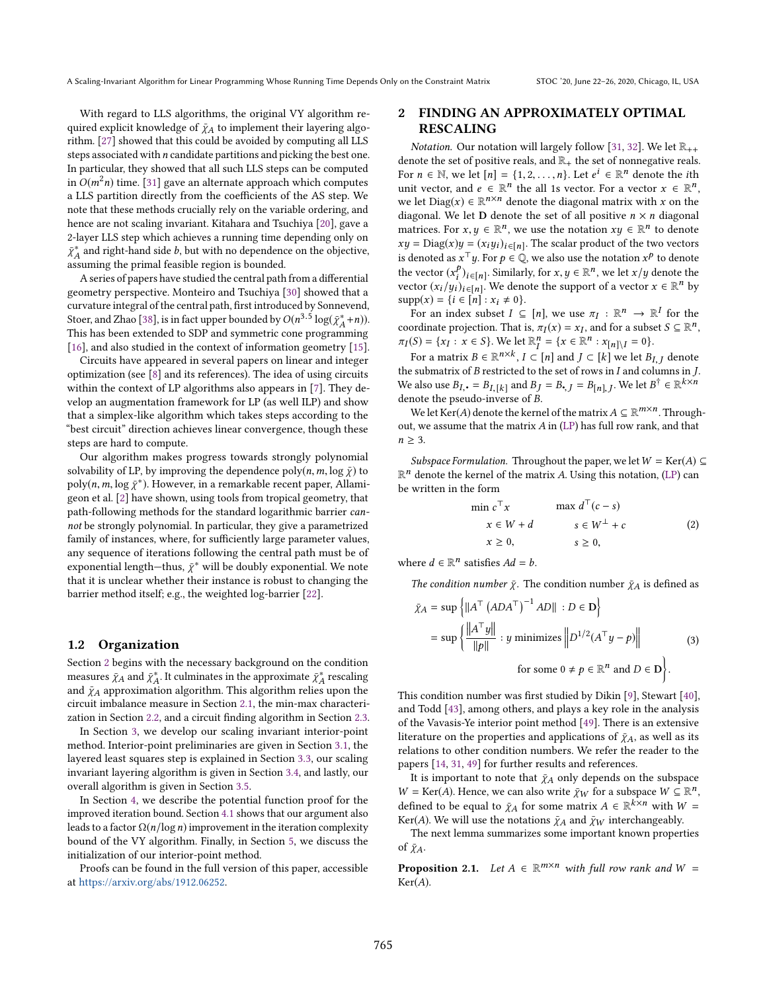With regard to LLS algorithms, the original VY algorithm required explicit knowledge of  $\bar{\chi}_A$  to implement their layering algorithm. [27] showed that this could be avoided by computing all LLS steps associated with n candidate partitions and picking the best one. In particular, they showed that all such LLS steps can be computed in  $O(m^2n)$  time. [31] gave an alternate approach which computes a LLS partition directly from the coefficients of the AS step. We note that these methods crucially rely on the variable ordering, and hence are not scaling invariant. Kitahara and Tsuchiya [20], gave a 2-layer LLS step which achieves a running time depending only on  $\bar{\chi}_{A}^{*}$  and right-hand side b, but with no dependence on the objective,  $\frac{1}{4}$  assuming the primal feasible region is bounded.

A series of papers have studied the central path from a differential geometry perspective. Monteiro and Tsuchiya [30] showed that a curvature integral of the central path, first introduced by Sonnevend, Stoer, and Zhao [38], is in fact upper bounded by  $O(n^{3.5} \log(\bar{\chi}_A^* + n))$ .<br>This has been extended to SDP and symmetric cone programming This has been extended to SDP and symmetric cone programming [16], and also studied in the context of information geometry [15].

Circuits have appeared in several papers on linear and integer optimization (see [8] and its references). The idea of using circuits within the context of LP algorithms also appears in [7]. They develop an augmentation framework for LP (as well ILP) and show that a simplex-like algorithm which takes steps according to the "best circuit" direction achieves linear convergence, though these steps are hard to compute.

Our algorithm makes progress towards strongly polynomial solvability of LP, by improving the dependence  $poly(n, m, \log \bar{\chi})$  to  $poly(n, m, \log \bar{\chi}^*)$ . However, in a remarkable recent paper, Allamigeon et al. [2] have shown, using tools from tropical geometry, that path-following methods for the standard logarithmic barrier cannot be strongly polynomial. In particular, they give a parametrized family of instances, where, for sufficiently large parameter values, any sequence of iterations following the central path must be of exponential length—thus,  $\bar{\chi}^*$  will be doubly exponential. We note that it is unclear whether their instance is robust to changing the that it is unclear whether their instance is robust to changing the barrier method itself; e.g., the weighted log-barrier [22].

#### 1.2 Organization

Section 2 begins with the necessary background on the condition measures  $\bar{\chi}_A$  and  $\bar{\chi}_A^*$ . It culminates in the approximate  $\bar{\chi}_A^*$  rescaling and  $\bar{\chi}_A$  approximation algorithm. This algorithm relies upon the and  $\bar{\chi}_A$  approximation algorithm. This algorithm relies upon the circuit imbalance measure in Section 2.1, the min-max charactericircuit imbalance measure in Section 2.1, the min-max characterization in Section 2.2, and a circuit finding algorithm in Section 2.3.

In Section 3, we develop our scaling invariant interior-point method. Interior-point preliminaries are given in Section 3.1, the layered least squares step is explained in Section 3.3, our scaling invariant layering algorithm is given in Section 3.4, and lastly, our overall algorithm is given in Section 3.5.

In Section 4, we describe the potential function proof for the improved iteration bound. Section 4.1 shows that our argument also leads to a factor  $\Omega(n/\log n)$  improvement in the iteration complexity bound of the VY algorithm. Finally, in Section 5, we discuss the initialization of our interior-point method.

Proofs can be found in the full version of this paper, accessible at [https://arxiv.org/abs/1912.06252.](https://arxiv.org/abs/1912.06252)

# 2 FINDING AN APPROXIMATELY OPTIMAL RESCALING

*Notation.* Our notation will largely follow [31, 32]. We let  $\mathbb{R}_{++}$ denote the set of positive reals, and  $\mathbb{R}_+$  the set of nonnegative reals. For  $n \in \mathbb{N}$ , we let  $[n] = \{1, 2, ..., n\}$ . Let  $e^i \in \mathbb{R}^n$  denote the *i*th unit vector and  $e \in \mathbb{R}^n$  the all 1s vector. For a vector  $x \in \mathbb{R}^n$ unit vector, and  $e \in \mathbb{R}^n$  the all 1s vector. For a vector  $x \in \mathbb{R}^n$ ,<br>we let  $\text{Diag}(x) \in \mathbb{R}^{n \times n}$  denote the diagonal matrix with x on the we let  $Diag(x) \in \mathbb{R}^{n \times n}$  denote the diagonal matrix with x on the diagonal We let **D** denote the set of all positive  $n \times n$  diagonal diagonal. We let **D** denote the set of all positive  $n \times n$  diagonal matrices. For  $x, y \in \mathbb{R}^n$ , we use the notation  $xy \in \mathbb{R}^n$  to denote  $xy - \text{Diag}(x)y - (x, y)$ , so the scalar product of the two vectors  $xy = Diag(x)y = (x_iy_i)_{i \in [n]}$ . The scalar product of the two vectors is denoted as  $x^T u$ . For  $h \in \mathbb{Q}$ , we also use the notation  $x^p$  to denote is denoted as  $x^T y$ . For  $p \in \mathbb{Q}$ , we also use the notation  $x^p$  to denote the vector  $(x^p)$  are Similarly for  $x, y \in \mathbb{R}^n$  we let  $x/y$  denote the the vector  $(x_i^p)_{i \in [n]}$ . Similarly, for  $x, y \in \mathbb{R}^n$ , we let  $x/y$  denote the vector  $x \in \mathbb{R}^n$  by the vector  $(x_i)_{i \in [n]}$ . Similarly, for  $x, y \in \mathbb{R}^n$ , we let  $x/y$  denote the vector  $(x_i/y_i)_{i \in [n]}$ . We denote the support of a vector  $x \in \mathbb{R}^n$  by supp $(x) - \{i \in [n] : x_i \neq 0\}$  $supp(x) = \{i \in [n] : x_i \neq 0\}.$ 

For an index subset  $I \subseteq [n]$ , we use  $\pi_I : \mathbb{R}^n \to \mathbb{R}^I$  for the projection. That is  $\pi_I(x) = x_I$  and for a subset  $S \subset \mathbb{R}^n$ . coordinate projection. That is,  $\pi_I(x) = x_I$ , and for a subset  $S \subseteq \mathbb{R}^n$ ,<br> $\pi_I(S) = \{x : x \in S\}$ . We let  $\mathbb{R}^n = \{x \in \mathbb{R}^n : x \in \mathbb{R} \times \mathbb{R} \times \mathbb{R} \times \mathbb{R} \times \mathbb{R} \times \mathbb{R} \times \mathbb{R} \times \mathbb{R} \times \mathbb{R} \times \mathbb{R} \times \mathbb{R} \times \mathbb$  $\pi_I(S) = \{x_I : x \in S\}$ . We let  $\mathbb{R}_I^n = \{x \in \mathbb{R}^n : x_{[n] \setminus I} = 0\}$ .

For a matrix  $B \in \mathbb{R}^{n \times k}$ ,  $I \subset [n]$  and  $J \subset [k]$  we let  $B_{I, J}$  denote the submatrix of  $B$  restricted to the set of rows in  $I$  and columns in  $J$ . We also use  $B_I$ ,  $= B_{I,[k]}$  and  $B_J = B_{I,[j]} = B_{[n],J}$ . We let  $B^{\dagger} \in \mathbb{R}^{k \times n}$ denote the pseudo-inverse of B.

We let Ker(A) denote the kernel of the matrix  $A \subseteq \mathbb{R}^{m \times n}$ . Through-<br>t we assume that the matrix A in (LP) has full row rank, and that out, we assume that the matrix  $A$  in (LP) has full row rank, and that  $n \geq 3$ .

Subspace Formulation. Throughout the paper, we let  $W = \text{Ker}(A) \subseteq$  $\mathbb{R}^n$  denote the kernel of the matrix A. Using this notation, (LP) can<br>be written in the form be written in the form

$$
\min c^{\top} x \qquad \max d^{\top} (c - s) \n x \in W + d \qquad s \in W^{\perp} + c \qquad (2) \n x \ge 0, \qquad s \ge 0,
$$

where  $d \in \mathbb{R}^n$  satisfies  $Ad = b$ .

The condition number  $\bar{\chi}$ . The condition number  $\bar{\chi}$ A is defined as

$$
\bar{\chi}_A = \sup \left\{ ||A^\top (ADA^\top)^{-1} AD|| : D \in \mathbf{D} \right\}
$$
  
= 
$$
\sup \left\{ \frac{||A^\top y||}{||p||} : y \text{ minimizes } ||D^{1/2}(A^\top y - p)|| \right\}
$$
 (3)  
for some  $0 \neq p \in \mathbb{R}^n$  and  $D \in \mathbf{D} \right\}.$ 

This condition number was first studied by Dikin [9], Stewart [40], and Todd [43], among others, and plays a key role in the analysis of the Vavasis-Ye interior point method [49]. There is an extensive literature on the properties and applications of  $\bar{\chi}_A$ , as well as its relations to other condition numbers. We refer the reader to the papers [14, 31, 49] for further results and references.

It is important to note that  $\bar{\chi}_A$  only depends on the subspace  $W = \text{Ker}(A)$ . Hence, we can also write  $\bar{\chi}_W$  for a subspace  $W \subseteq \mathbb{R}^n$ , defined to be caught to  $\bar{\chi}_L$  for some matrix  $A \subseteq \mathbb{R}^{k \times n}$  with  $W =$ defined to be equal to  $\bar{\chi}_A$  for some matrix  $A \in \mathbb{R}^{k \times n}$  with  $W =$ <br>Ker(4). We will use the notations  $\bar{\chi}_A$  and  $\bar{\chi}_W$  interchangeably Ker(A). We will use the notations  $\bar{\chi}_A$  and  $\bar{\chi}_W$  interchangeably.

The next lemma summarizes some important known properties of  $\bar{\chi}_A$ .

**Proposition 2.1.** Let  $A \in \mathbb{R}^{m \times n}$  with full row rank and  $W =$ <br> $Ker(A)$  $Ker(A)$ .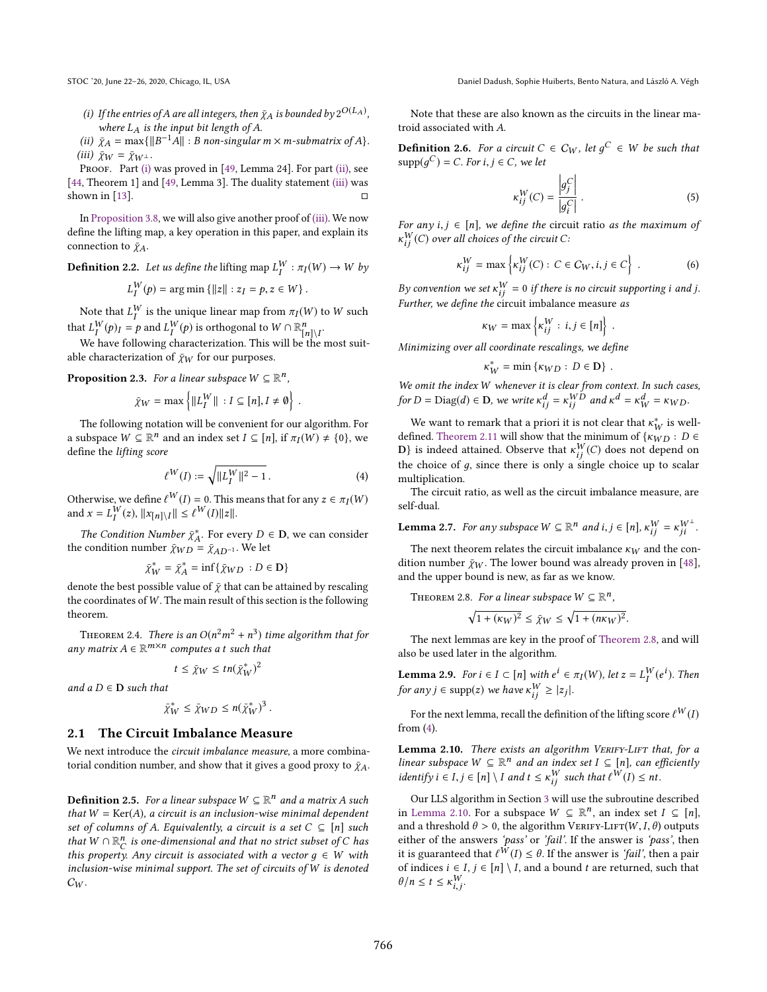- (i) If the entries of A are all integers, then  $\bar{\chi}_A$  is bounded by  $2^{O(L_A)}$ ,<br>where L, is the input bit length of  $\Delta$ where  $L_A$  is the input bit length of A.
- (ii)  $\bar{\chi}_A = \max\{\|B^{-1}A\| : B \text{ non-singular } m \times m \text{-submatrix of } A\}.$ <br>(iii)  $\bar{\chi}_{\text{tot}} = \bar{\chi}_{\text{tot}}$ (iii)  $\bar{\chi}_W = \bar{\chi}_{W^\perp}$ .

PROOF. Part (i) was proved in [49, Lemma 24]. For part (ii), see [44, Theorem 1] and [49, Lemma 3]. The duality statement (iii) was shown in [13].  $\Box$ 

In Proposition 3.8, we will also give another proof of (iii). We now define the lifting map, a key operation in this paper, and explain its connection to  $\bar{\chi}_A$ .

**Definition 2.2.** Let us define the lifting map  $L_I^W : \pi_I(W) \to W$  by

$$
L_I^W(p) = \arg\min \{ ||z|| : z_I = p, z \in W \}.
$$

Note that  $L_1^W$  is the unique linear map from  $\pi_I(W)$  to W such that  $L_I^W(p)_I = p$  and  $L_I^W(p)$  is orthogonal to  $W \cap \mathbb{R}_{[n]\setminus I}^n$ .<br>We have following characterization. This will be the

We have following characterization. This will be the most suitable characterization of  $\bar{\chi}_W$  for our purposes.

**Proposition 2.3.** For a linear subspace  $W \subseteq \mathbb{R}^n$ ,

$$
\bar{\chi}_W = \max\left\{ ||L_I^W|| : I \subseteq [n], I \neq \emptyset \right\}
$$

The following notation will be convenient for our algorithm. For a subspace  $W \subseteq \mathbb{R}^n$  and an index set  $I \subseteq [n]$ , if  $\pi_I(W) \neq \{0\}$ , we define the lifting score define the lifting score

$$
\ell^W(I) := \sqrt{\|L_I^W\|^2 - 1} \,. \tag{4}
$$

Otherwise, we define  $\ell^W(I) = 0$ . This means that for any  $z \in \pi_I(W)$ <br>and  $x = I^W(z)$   $\|x - y\| \le \ell^W(I)\|z\|$ and  $x = L_I^W(z)$ ,  $||x_{[n] \setminus I}|| \le \ell^W(I) ||z||$ .

The Condition Number  $\bar{\chi}^*_{A}$ . For every  $D \in \mathbf{D}$ , we can consider the condition number  $\bar{\chi}_{WD} = \bar{\chi}_{AD^{-1}}$ . We let

$$
\bar{\chi}_{W}^* = \bar{\chi}_{A}^* = \inf \{ \bar{\chi}_{WD} : D \in \mathbf{D} \}
$$

 $\bar{\chi}_{W}^{*} = \bar{\chi}_{A}^{*} = \inf \{ \bar{\chi}_{WD} : D \in \mathbf{D} \}$ <br>denote the best possible value of  $\bar{\chi}$  that can be attained by rescaling<br>the coordinates of W. The main result of this section is the following the coordinates of  $W$ . The main result of this section is the following theorem.

THEOREM 2.4. There is an  $O(n^2m^2 + n^3)$  time algorithm that for<br>y matrix  $A \in \mathbb{R}^{m \times n}$  computes a t such that any matrix  $A \in \mathbb{R}^{m \times n}$  computes a t such that

$$
t\leq \bar{\chi}_W\leq tn(\bar{\chi}_W^*)^2
$$

and  $a D \in D$  such that

$$
\bar{\chi}_W^* \le \bar{\chi}_{WD} \le n(\bar{\chi}_W^*)^3.
$$

#### 2.1 The Circuit Imbalance Measure

We next introduce the circuit imbalance measure, a more combinatorial condition number, and show that it gives a good proxy to  $\bar{\chi}_{A}$ .

**Definition 2.5.** For a linear subspace  $W \subseteq \mathbb{R}^n$  and a matrix A such that  $W = \text{Ker}(A)$ , a circuit is an inclusion-wise minimal dependent that  $W = \text{Ker}(A)$ , a circuit is an inclusion-wise minimal dependent set of columns of A. Equivalently, a circuit is a set  $C \subseteq [n]$  such that  $W \cap \mathbb{R}_C^n$  is one-dimensional and that no strict subset of C has this property Apy circuit is associated with a vector  $a \in W$  with this property. Any circuit is associated with a vector  $g \in W$  with<br>inclusion-vise minimal support. The set of circuits of W is denoted inclusion-wise minimal support. The set of circuits of W is denoted  $C_W$ .

Note that these are also known as the circuits in the linear matroid associated with A.

**Definition 2.6.** For a circuit  $C \in C_W$ , let  $g^C \in W$  be such that  $\text{sum}(g^C) = C$  For  $i \in C$  we let  $\text{supp}(g^C) = C$ . For  $i, j \in C$ , we let

$$
\kappa_{ij}^W(C) = \frac{\left|g_j^C\right|}{\left|g_i^C\right|} \,. \tag{5}
$$

 $|g_i|$ <br>For any i, j ∈ [n], we define the circuit ratio as the maximum of<br> $x^W(C)$  over all choices of the circuit C  $\kappa_{ij}^W(C)$  over all choices of the circuit C:

$$
\kappa_{ij}^W = \max \left\{ \kappa_{ij}^W(C) : C \in C_W, i, j \in C \right\} \ . \tag{6}
$$

By convention we set  $\kappa_{ij}^W = 0$  if there is no circuit supporting i and j.<br>Further we define the circuit imbalance measure as Further, we define the circuit imbalance measure as

$$
\kappa_W = \max \left\{ \kappa_{ij}^W : i, j \in [n] \right\} .
$$

Minimizing over all coordinate rescalings, we define

$$
\kappa_W^* = \min \left\{ \kappa_{WD} : D \in \mathbf{D} \right\} .
$$

We omit the index W whenever it is clear from context. In such cases,<br>for  $D = \text{Diag}(d) \subseteq D$ , we write  $x^d = x^{WD}$  and  $x^d = x^d = x^{CP}$ . for  $D = Diag(d) \in \mathbf{D}$ , we write  $\kappa_{ij}^d = \kappa_{ij}^{WD}$  and  $\kappa^d = \kappa_W^d = \kappa_{WD}$ .

We want to remark that a priori it is not clear that  $\kappa_W^*$  is well-<br>fined. Theorem 2.11 will show that the minimum of  $\kappa_{W,D}: D \in$ defined. Theorem 2.11 will show that the minimum of  $\{K_{WD}: D \in \mathbb{R}\}$  is indeed attained. Observe that  $\kappa^W(C)$  does not depend on D} is indeed attained. Observe that  $\kappa_{ij}^{W}(C)$  does not depend on the choice of a since there is only a single choice up to scalar the choice of  $g$ , since there is only a single choice up to scalar multiplication.

The circuit ratio, as well as the circuit imbalance measure, are self-dual.

**Lemma 2.7.** For any subspace 
$$
W \subseteq \mathbb{R}^n
$$
 and  $i, j \in [n]$ ,  $\kappa_{ij}^W = \kappa_{ji}^{W^{\perp}}$ .

The next theorem relates the circuit imbalance  $\kappa_W$  and the condition number  $\bar{\chi}_W$ . The lower bound was already proven in [48], and the upper bound is new, as far as we know.

THEOREM 2.8. For a linear subspace 
$$
W \subseteq \mathbb{R}^n
$$
,

$$
\sqrt{1 + (\kappa_W)^2} \le \bar{\chi}_W \le \sqrt{1 + (n\kappa_W)^2}.
$$

The next lemmas are key in the proof of Theorem 2.8, and will also be used later in the algorithm.

**Lemma 2.9.** For  $i \in I \subset [n]$  with  $e^i \in \pi_I(W)$ , let  $z = L_I^W(e^i)$ . Then<br>for any  $i \in \text{sump}(z)$  we have  $x^W > |z|$ . for any  $j \in \text{supp}(z)$  we have  $\kappa_{ij}^W \ge |z_j|$ .

For the next lemma, recall the definition of the lifting score  $\ell^W(I)$ from (4).

Lemma 2.10. There exists an algorithm VERIFY-LIFT that, for a linear subspace  $W \subseteq \mathbb{R}^n$  and an index set  $I \subseteq [n]$ , can efficiently<br>identify  $i \in I$ ,  $i \in [n] \setminus I$  and  $t \in \mathbb{R}^N$  such that  $\ell^W(I) \leq nt$ identify  $i \in I, j \in [n] \setminus I$  and  $t \leq \kappa_{ij}^W$  such that  $\ell^W(I) \leq nt$ .

Our LLS algorithm in Section 3 will use the subroutine described in Lemma 2.10. For a subspace  $W \subseteq \mathbb{R}^n$ , an index set  $I \subseteq [n]$ ,<br>and a threshold  $\theta > 0$ , the algorithm VERIEV-LET(W I  $\theta$ ) outputs and a threshold  $\theta > 0$ , the algorithm VERIFY-LIFT(W, I,  $\theta$ ) outputs either of the answers 'pass' or 'fail'. If the answer is 'pass', then it is guaranteed that  $\ell^W(I) \leq \theta$ . If the answer is 'fail', then a pair of indices  $i \in I, j \in [n] \setminus I$  ,and a bound  $t$  are returned, such that  $\theta/n \leq t \leq \kappa_{i,j}^W$ .  $\ddot{\phantom{a}}$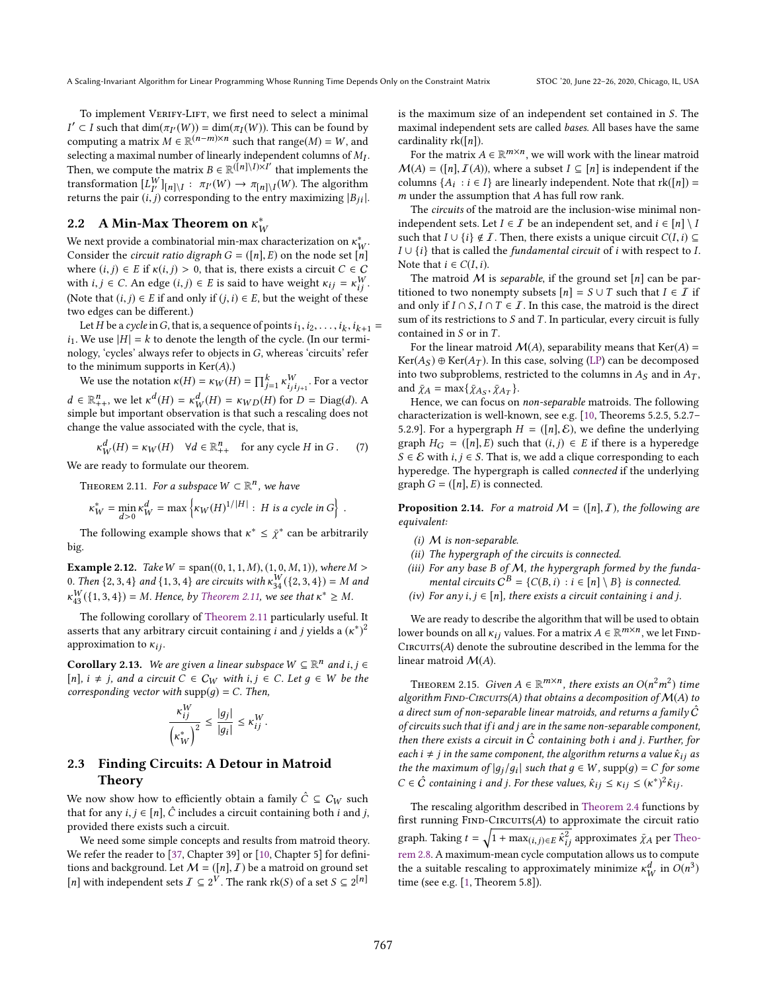To implement VERIFY-LIFT, we first need to select a minimal  $\epsilon$  computing a matrix  $M \in \mathbb{R}^{(n-m)\times n}$  such that range $(M) = W$ , and real real range $(M) = W$ , and real range  $M$  $\zeta' \subset I$  such that  $\dim(\pi_I(W)) = \dim(\pi_I(W))$ . This can be found by computing a matrix  $M \subset \mathbb{R}^{(n-m)\times n}$  such that  $\text{range}(M) = W$  and selecting a maximal number of linearly independent columns of  $M_I$ .<br>Then, we compute the matrix  $B \subset \mathbb{B}(\{n\} \setminus I \times I')$  that implements the Then, we compute the matrix  $B \in \mathbb{R}^{(\lfloor n \rfloor)}$  that implements the transformation  $[I^W]_{\lfloor n \rfloor}, \pi_{\lfloor n \rfloor}(W) \to \pi_{\lfloor n \rfloor}, \pi(W)$ . The algorithm transformation  $[L_Y^W]_{[n]\setminus I} : \pi_{I'}(W) \to \pi_{[n]\setminus I}(W)$ . The algorithm returns the pair  $(i, j)$  corresponding to the entry maximizing  $[R, j]$ returns the pair  $(i, j)$  corresponding to the entry maximizing  $|B_{ji}|$ .

# 2.2 A Min-Max Theorem on  $\kappa_V^*$

We next provide a combinatorial min-max characterization on  $\kappa_W^*$ .<br>Consider the *circuit ratio digraph*  $G - (\ln |F)$  on the node set  $\ln |\ln |\kappa|$ Consider the *circuit ratio digraph*  $G = ([n], E)$  on the node set  $[n]$ <br>where  $(i, i) \in E$  if  $\kappa(i, i) > 0$ , that is, there exists a circuit  $C \in C$ where  $(i, j) \in E$  if  $\kappa(i, j) > 0$ , that is, there exists a circuit  $C \in C$ with  $i, j \in C$ . An edge  $(i, j) \in E$  is said to have weight  $\kappa_{ij} = \kappa_{ij}^W$ .<br>(Note that  $(i, j) \in F$  if and only if  $(i, j) \in F$  but the weight of these (Note that  $(i, j) \in E$  if and only if  $(j, i) \in E$ , but the weight of these two edges can be different.)

Let H be a cycle in G, that is, a sequence of points  $i_1, i_2, \ldots, i_k, i_{k+1} =$ <br>We use  $|H| - k$  to denote the length of the cycle (In our termi $i_1$ . We use  $|H| = k$  to denote the length of the cycle. (In our terminology, 'cycles' always refer to objects in G, whereas 'circuits' refer to the minimum supports in  $Ker(A)$ .)

We use the notation  $\kappa(H) = \kappa_W(H) = \prod_{j=1}^k \kappa_{ij}^W$ . For a vector  $d \in \mathbb{R}_{++}^n$ , we let  $\kappa^d(H) = \kappa^d_W(H) = \kappa_{WD}(H)$  for  $D = \text{Diag}(d)$ . A simple but important observation is that such a rescaling does not simple but important observation is that such a rescaling does not change the value associated with the cycle, that is,

$$
\kappa_W^d(H) = \kappa_W(H) \quad \forall d \in \mathbb{R}_{++}^n \quad \text{for any cycle } H \text{ in } G. \tag{7}
$$
  
We are ready to formulate our theorem.

THEOREM 2.11. For a subspace  $W \subset \mathbb{R}^n$ , we have

$$
\kappa_W^* = \min_{d>0} \kappa_W^d = \max \left\{ \kappa_W(H)^{1/|H|} : H \text{ is a cycle in } G \right\}
$$

The following example shows that  $\kappa^* \leq \tilde{\chi}^*$  can be arbitrarily big.

**Example 2.12.** Take  $W = \text{span}((0, 1, 1, M), (1, 0, M, 1))$ , where  $M >$ 0. Then  $\{2, 3, 4\}$  and  $\{1, 3, 4\}$  are circuits with  $\kappa_{34}^{W}(\{2, 3, 4\}) = M$  and  $\kappa_{44}^{W}(\{1, 2, 4\}) = M$ . Hence, he Theorem 2.14, we see that  $\kappa_{34}^{*} > M$ .  $\kappa_{43}^{W}(\{1,3,4\}) = M$ . Hence, by Theorem 2.11, we see that  $\kappa^* \geq M$ .

The following corollary of Theorem 2.11 particularly useful. It asserts that any arbitrary circuit containing *i* and *j* yields a  $(\kappa^*)^2$ approximation to  $\kappa_{ij}$ .

**Corollary 2.13.** We are given a linear subspace  $W \subseteq \mathbb{R}^n$  and  $i, j \in$  [all  $i \neq i$  and a circuit  $C \in C$  is with  $i, j \in C$ . Let  $a \in W$  be the [n],  $i \neq j$ , and a circuit  $C \in C_W$  with  $i, j \in C$ . Let  $g \in W$  be the corresponding vector with  $supp(g) = C$ . Then,

$$
\frac{\kappa_{ij}^W}{\left(\kappa_{W}^*\right)^2} \le \frac{|g_j|}{|g_i|} \le \kappa_{ij}^W.
$$

# 2.3 Finding Circuits: A Detour in Matroid Theory

We now show how to efficiently obtain a family  $\hat{C} \subseteq C_W$  such that for any  $i, j \in [n]$ ,  $\hat{C}$  includes a circuit containing both i and j, provided there exists such a circuit.

We need some simple concepts and results from matroid theory. We refer the reader to [37, Chapter 39] or [10, Chapter 5] for definitions and background. Let  $M = ([n], I)$  be a matroid on ground set [*n*] with independent sets  $I \subseteq 2^V$ . The rank  $rk(S)$  of a set  $S \subseteq 2^{[n]}$ 

is the maximum size of an independent set contained in S. The maximal independent sets are called bases. All bases have the same cardinality  $rk([n])$ .

For the matrix  $A \in \mathbb{R}^{m \times n}$ , we will work with the linear matroid  $(A) = (n, I(A))$  where a subset  $I \subseteq [n]$  is independent if the  $M(A) = (\lceil n \rceil, I(A))$ , where a subset  $I \subseteq \lceil n \rceil$  is independent if the columns  $\{A_i : i \in I\}$  are linearly independent. Note that  $rk([n]) = m$  under the assumption that A has full row rank  $m$  under the assumption that  $A$  has full row rank.

The circuits of the matroid are the inclusion-wise minimal nonindependent sets. Let  $I \in \mathcal{I}$  be an independent set, and  $i \in [n] \setminus I$ such that  $I \cup \{i\} \notin \mathcal{I}$ . Then, there exists a unique circuit  $C(I, i) \subseteq$  $I \cup \{i\}$  that is called the *fundamental circuit* of *i* with respect to *I*. Note that  $i \in C(I, i)$ .

The matroid M is separable, if the ground set  $[n]$  can be partitioned to two nonempty subsets  $[n] = S \cup T$  such that  $I \in \mathcal{I}$  if and only if  $I ∩ S$ ,  $I ∩ T ∈ I$ . In this case, the matroid is the direct sum of its restrictions to  $S$  and  $T$ . In particular, every circuit is fully contained in  $S$  or in  $T$ .

For the linear matroid  $M(A)$ , separability means that  $Ker(A)$  =  $Ker(A_S) \oplus Ker(A_T)$ . In this case, solving (LP) can be decomposed into two subproblems, restricted to the columns in  $A_S$  and in  $A_T$ , and  $\bar{\chi}_A = \max{\{\bar{\chi}_{A_S}, \bar{\chi}_{A_T}\}}$ .<br>Hence we can focus on

Hence, we can focus on non-separable matroids. The following characterization is well-known, see e.g. [10, Theorems 5.2.5, 5.2.7– 5.2.9]. For a hypergraph  $H = (\lfloor n \rfloor, \mathcal{E})$ , we define the underlying graph  $H_G = ([n], E)$  such that  $(i, j) \in E$  if there is a hyperedge  $S \in \mathcal{E}$  with  $i, j \in S$ . That is, we add a clique corresponding to each hyperedge. The hypergraph is called connected if the underlying graph  $G = (\lfloor n \rfloor, E)$  is connected.

**Proposition 2.14.** For a matroid  $M = (\lfloor n \rfloor, I)$ , the following are equivalent:

- (i) M is non-separable.
- (ii) The hypergraph of the circuits is connected.
- (iii) For any base  $B$  of  $M$ , the hypergraph formed by the fundamental circuits  $C^B = \{C(B, i) : i \in [n] \setminus B\}$  is connected.<br>For any  $i \in [n]$ , there exists a circuit containing i and i
- (iv) For any  $i, j \in [n]$ , there exists a circuit containing i and j.

We are ready to describe the algorithm that will be used to obtain lower bounds on all  $\kappa_{ij}$  values. For a matrix  $A \in \mathbb{R}^{m \times n}$ , we let FIND-<br>CIRCUITS(4) denote the subroutine described in the lemma for the  $CircUTS(A)$  denote the subroutine described in the lemma for the linear matroid  $\mathcal{M}(A)$ .

THEOREM 2.15. Given  $A \in \mathbb{R}^{m \times n}$ , there exists an  $O(n^2m^2)$  time<br>corithm FIND-CIPCUTS(A) that obtains a decomposition of  $M(A)$  to algorithm FIND-CIRCUITS(A) that obtains a decomposition of  $\mathcal{M}(A)$  to a direct sum of non-separable linear matroids, and returns a family  $\hat{C}$ of circuits such that ifi and j are in the same non-separable component, then there exists a circuit in  $\hat{C}$  containing both *i* and *j*. Further, for each  $i \neq j$  in the same component, the algorithm returns a value  $\hat{\kappa}_{ij}$  as the the maximum of  $|g_j/g_i|$  such that  $g \in W$ , supp $(g) = C$  for some  $C \subseteq \hat{C}$  containing i and i. For these values  $\hat{C} \subseteq C$  is  $(1)^{3/2}$  $C \in \hat{C}$  containing *i* and *j*. For these values,  $\hat{\kappa}_{ij} \leq \kappa_{ij} \leq (\kappa^*)^2 \hat{\kappa}_{ij}$ .

The rescaling algorithm described in Theorem 2.4 functions by first running  $FIND-CIRCUITS(A)$  to approximate the circuit ratio graph. Taking  $t = \sqrt{1 + \max_{(i,j)\in E} \hat{\kappa}_{ij}^2}$  approximates  $\bar{\chi}_A$  per Theo-<br>rom 2.8. A maximum mean avala computation allows us to compute rem 2.8. A maximum-mean cycle computation allows us to compute the a suitable rescaling to approximately minimize  $\kappa_W^d$  in  $O(n^3)$ <br>time (see e.g. [1] Theorem 5.81) time (see e.g. [1, Theorem 5.8]).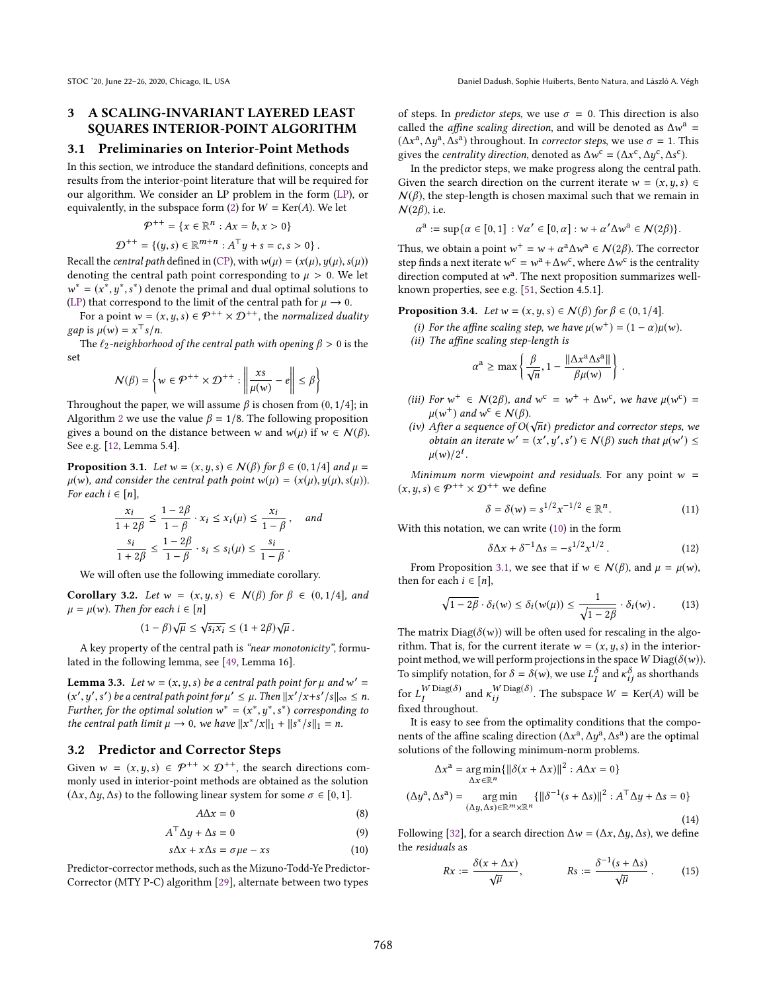# 3 A SCALING-INVARIANT LAYERED LEAST SQUARES INTERIOR-POINT ALGORITHM

#### 3.1 Preliminaries on Interior-Point Methods

In this section, we introduce the standard definitions, concepts and results from the interior-point literature that will be required for our algorithm. We consider an LP problem in the form (LP), or equivalently, in the subspace form (2) for  $W = \text{Ker}(A)$ . We let

$$
\mathcal{P}^{++} = \{x \in \mathbb{R}^n : Ax = b, x > 0\}
$$

 $\mathcal{D}^{++} = \{ (y, s) \in \mathbb{R}^{m+n} : A^{\top}y + s = c, s > 0 \}.$ Recall the *central path* defined in (CP), with  $w(\mu) = (x(\mu), y(\mu), s(\mu))$ denoting the central path point corresponding to  $\mu > 0$ . We let \* =  $(x^*, y^*, s^*)$  denote the primal and dual optimal solutions to<br><sup>p</sup>) that correspond to the limit of the central path for  $y \to 0$ .

(LP) that correspond to the limit of the central path for  $\mu \to 0$ .<br>For a point  $w = (x, y, \epsilon) \in \mathcal{Q}^{++} \times \mathcal{Q}^{++}$  the normalized due For a point  $w = (x, y, s) \in \mathcal{P}^{++} \times \mathcal{D}^{++}$ , the normalized duality  $gap$  is  $\mu(w) = x^{\top} s/n$ .<br>The *f*<sub>2</sub>-neighborho

The  $\ell_2$ -neighborhood of the central path with opening  $\beta > 0$  is the set

Ì

$$
N(\beta) = \left\{ w \in \mathcal{P}^{++} \times \mathcal{D}^{++} : \left\| \frac{xs}{\mu(w)} - e \right\| \le \beta \right\}
$$

Throughout the paper, we will assume  $\beta$  is chosen from  $(0, 1/4]$ ; in Algorithm 2 we use the value  $\beta = 1/8$ . The following proposition Algorithm 2 we use the value  $\beta = 1/8$ . The following proposition gives a bound on the distance between w and  $w(\mu)$  if  $w \in \mathcal{N}(\beta)$ . See e.g. [12, Lemma 5.4].

**Proposition 3.1.** Let  $w = (x, y, s) \in N(\beta)$  for  $\beta \in (0, 1/4]$  and  $\mu =$  $\mu(w)$ , and consider the central path point  $w(\mu) = (x(\mu), y(\mu), s(\mu))$ . For each  $i \in [n]$ ,

$$
\frac{x_i}{1+2\beta} \le \frac{1-2\beta}{1-\beta} \cdot x_i \le x_i(\mu) \le \frac{x_i}{1-\beta}, \quad \text{and}
$$

$$
\frac{s_i}{1+2\beta} \le \frac{1-2\beta}{1-\beta} \cdot s_i \le s_i(\mu) \le \frac{s_i}{1-\beta}.
$$

We will often use the following immediate corollary.

Corollary 3.2. Let  $w = (x, y, s) \in N(\beta)$  for  $\beta \in (0, 1/4]$ , and  $\mu = \mu(w)$ . Then for each  $i \in [n]$ 

$$
(1 - \beta)\sqrt{\mu} \le \sqrt{s_i x_i} \le (1 + 2\beta)\sqrt{\mu}.
$$

A key property of the central path is "near monotonicity", formulated in the following lemma, see [49, Lemma 16].

**Lemma 3.3.** Let  $w = (x, y, s)$  be a central path point for  $\mu$  and  $w' = (x', y', s')$  be a central path point for  $u' \le u$ . Then  $||x'/x + s'||_S|| \le n$  $(x', y', s')$  be a central path point for  $\mu' \leq \mu$ . Then  $||x'/x+s'/s||_{\infty} \leq n$ .<br>Further, for the optimal solution  $w^* = (x^*, u^*, s^*)$ , corresponding to Further, for the optimal solution  $w^* = (x^*, y^*, s^*)$  corresponding to the central path limit  $u \to 0$ , we have  $||x^*/x||_1 + ||s^*/x||_2 = n$ . the central path limit  $\mu \to 0$ , we have  $||x^*/x||_1 + ||s^*/s||_1 = n$ .

#### 3.2 Predictor and Corrector Steps

Given  $w = (x, y, s) \in \mathcal{P}^{++} \times \mathcal{D}^{++}$ , the search directions commonly used in interior-point methods are obtained as the solution  $(\Delta x, \Delta y, \Delta s)$  to the following linear system for some  $\sigma \in [0, 1]$ .

$$
A\Delta x = 0 \tag{8}
$$

$$
A^{\top} \Delta y + \Delta s = 0 \tag{9}
$$

$$
s\Delta x + x\Delta s = \sigma \mu e - xs \tag{10}
$$

Predictor-corrector methods, such as the Mizuno-Todd-Ye Predictor-Corrector (MTY P-C) algorithm [29], alternate between two types

of steps. In *predictor steps*, we use  $\sigma = 0$ . This direction is also called the *affine scaling direction*, and will be denoted as  $\Delta w^a = (A x^a A y^a A z^a)$  throughout In corrector steps we use  $\sigma = 1$ . This  $(\Delta x^a, \Delta y^a, \Delta s^a)$  throughout. In *corrector steps*, we use  $\sigma = 1$ . This gives the *centrality direction* denoted as  $\Delta w^c = (\Delta x^c, \Delta u^c, \Delta s^c)$ gives the *centrality direction*, denoted as  $\Delta w^c = (\Delta x^c, \Delta y^c, \Delta s^c)$ .<br>In the predictor steps, we make progress along the central particle

 $\overline{a}$  of the predictor steps, we make progress along the central path. Given the search direction on the current iterate  $w = (x, y, s) \in$  $N(\beta)$ , the step-length is chosen maximal such that we remain in  $\mathcal{N}(2\beta)$ , i.e.

 $a := \sup{\alpha \in [0, 1] : \forall \alpha' \in [0, \alpha] : \omega + \alpha' \Delta \omega^a \in \mathcal{N}(2\beta) }$ .

Thus, we obtain a point  $w^+ = w + \alpha^a \Delta w^a \in \mathcal{N}(2\beta)$ . The corrector<br>step finds a post iterate  $w^c = w^a + \Delta w^c$  where  $\Delta w^c$  is the centrality step finds a next iterate  $w^c = w^a + \Delta w^c$ , where  $\Delta w^c$  is the centrality<br>direction computed at  $w^a$ . The next proposition summarizes well. direction computed at  $w^a$ . The next proposition summarizes well-<br>known properties, see e.g.  $[51, \text{Section 45 1}]$ known properties, see e.g. [51, Section 4.5.1].

**Proposition 3.4.** Let  $w = (x, y, s) \in N(\beta)$  for  $\beta \in (0, 1/4]$ .

- (i) For the affine scaling step, we have  $\mu(w^+) = (1 \alpha)\mu(w)$ .<br>(ii) The affine scaling step-length is
- (ii) The affine scaling step-length is

$$
\alpha^{\rm a} \ge \max\left\{\frac{\beta}{\sqrt{n}}, 1 - \frac{\|\Delta x^{\rm a} \Delta s^{\rm a}\|}{\beta \mu(w)}\right\}
$$

- (iii) For  $w^+ \in \mathcal{N}(2\beta)$ , and  $w^c = w^+ + \Delta w^c$ , we have  $\mu(w^c) = \mu(w^+)$  and  $w^c \in \mathcal{N}(\beta)$  $\mu(w^+)$  and  $w^c \in \mathcal{N}(\beta)$ .<br>After a sequence of O(
- (iv) After a sequence of  $O(\sqrt{n}t)$  predictor and corrector steps, we<br>obtain an iterate  $w' = (x', y', s') \in N(R)$  such that  $y(w') \leq$ obtain an iterate  $w' = (x' - (w'))^{2t}$  $, y$ ′  $\cdot$ <sup>s</sup>  $\mathcal{U}(\beta)$  such that  $\mu(w') \leq$  $\mu(w)/2^t$ .

Minimum norm viewpoint and residuals. For any point  $w =$  $(x, y, s) \in \mathcal{P}^{++} \times \mathcal{D}^{++}$  we define

$$
\delta = \delta(w) = s^{1/2} x^{-1/2} \in \mathbb{R}^n.
$$
 (11)

With this notation, we can write  $(10)$  in the form

$$
\delta \Delta x + \delta^{-1} \Delta s = -s^{1/2} x^{1/2} . \tag{12}
$$

 $\delta \Delta x + \delta^{-1} \Delta s = -s^{1/2} x^{1/2}$ . (12)<br>From Proposition 3.1, we see that if  $w \in \mathcal{N}(\beta)$ , and  $\mu = \mu(w)$ , then for each  $i \in [n]$ ,

$$
\sqrt{1 - 2\beta} \cdot \delta_i(w) \le \delta_i(w(\mu)) \le \frac{1}{\sqrt{1 - 2\beta}} \cdot \delta_i(w). \tag{13}
$$

The matrix  $Diag(\delta(w))$  will be often used for rescaling in the algo-<br>rithm. That is, for the current iterate  $w = (x, u, s)$  in the interiorrithm. That is, for the current iterate  $w = (x, y, s)$  in the interiorpoint method, we will perform projections in the space W  $\mathrm{Diag}(\delta(w))$ . To simplify notation, for  $\delta = \delta(w)$ , we use  $L_I^{\delta}$  and  $\kappa_{ij}^{\delta}$  as shorthands

for  $L_I^{W \text{Diag}(\delta)}$  and  $\kappa_{ij}^{W \text{Diag}(\delta)}$ . The subspace  $W = \text{Ker}(A)$  will be fixed throughout fixed throughout.

It is easy to see from the optimality conditions that the components of the affine scaling direction  $(\Delta x^a, \Delta y^a, \Delta s^a)$  are the optimal<br>solutions of the following minimum-norm problems solutions of the following minimum-norm problems.

$$
\Delta x^{\mathbf{a}} = \underset{\Delta x \in \mathbb{R}^n}{\arg \min} \{ ||\delta(x + \Delta x)||^2 : A\Delta x = 0 \}
$$
  

$$
(\Delta y^{\mathbf{a}}, \Delta s^{\mathbf{a}}) = \underset{(\Delta y, \Delta s) \in \mathbb{R}^m \times \mathbb{R}^n}{\arg \min} \{ ||\delta^{-1}(s + \Delta s)||^2 : A^{\top} \Delta y + \Delta s = 0 \}
$$
  
(14)

Following [32], for a search direction  $\Delta w = (\Delta x, \Delta y, \Delta s)$ , we define the residuals as

$$
Rx := \frac{\delta(x + \Delta x)}{\sqrt{\mu}}, \qquad Rs := \frac{\delta^{-1}(s + \Delta s)}{\sqrt{\mu}}.
$$
 (15)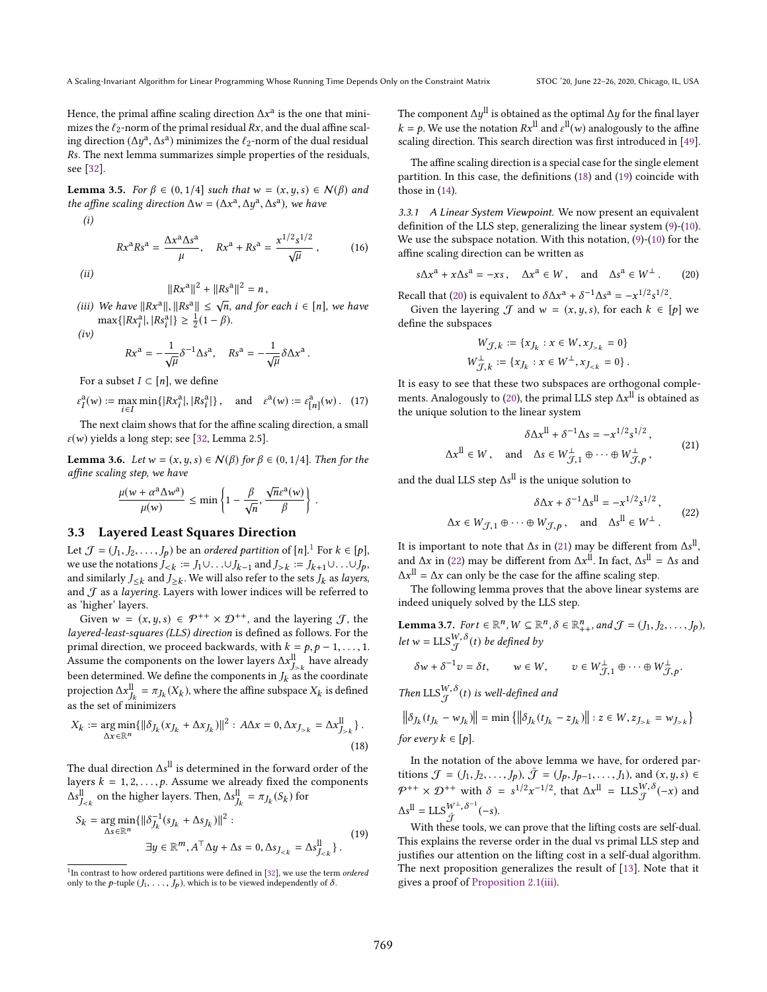Hence, the primal affine scaling direction  $\Delta x^{\text{a}}$  is the one that mini-<br>mizes the *f*orporm of the primal residual  $Px$  and the dual affine scalmizes the  $\ell_2$ -norm of the primal residual  $Rx$ , and the dual affine scaling direction  $(\Delta y^a, \Delta s^a)$  minimizes the  $\ell_2$ -norm of the dual residual<br>Rs. The next lemma summarizes simple properties of the residuals  $\overline{R}$ s. The next lemma summarizes simple properties of the residuals, see [32].

**Lemma 3.5.** For  $\beta \in (0, 1/4]$  such that  $w = (x, y, s) \in \mathcal{N}(\beta)$  and the affine scaling direction  $\Delta w = (\Delta x^a)$  $, -y$ a  $,$  $a)$ , we have

$$
(i)
$$

$$
Rx^{a}Rs^{a} = \frac{\Delta x^{a}\Delta s^{a}}{\mu}, \quad Rx^{a} + Rs^{a} = \frac{x^{1/2}s^{1/2}}{\sqrt{\mu}}, \quad (16)
$$

(ii)

- $\|Rx^{\mathbf{a}}\|^2 + \|Rs^{\mathbf{a}}\|^2 = n,$
- (iii) We have  $||Rx^a||, ||Rs^a|| \le \sqrt{n}$ , and for each  $i \in [n]$ , we have<br>my{| $Px^a$ |  $|Px^a|$  >  $\frac{1}{2}(1 \beta)$  $\max\{|Rx_i^a|, |Rs_i^a|$  $|\} \geq \frac{1}{2}(1-\beta).$

 $(iv)$ 

$$
Rx^{a} = -\frac{1}{\sqrt{\mu}} \delta^{-1} \Delta s^{a}, \quad Rs^{a} = -\frac{1}{\sqrt{\mu}} \delta \Delta x^{a}.
$$

For a subset  $I \subset [n]$ , we define

$$
\varepsilon_I^{\mathfrak{a}}(w) := \max_{i \in I} \min\{|Rx_i^{\mathfrak{a}}|, |Rs_i^{\mathfrak{a}}|\}, \text{ and } \varepsilon^{\mathfrak{a}}(w) := \varepsilon_{[n]}^{\mathfrak{a}}(w). \tag{17}
$$
  
The next claim shows that for the affine scaling direction, a small

 $\varepsilon(w)$  yields a long step; see [32, Lemma 2.5].

**Lemma 3.6.** Let  $w = (x, y, s) \in N(\beta)$  for  $\beta \in (0, 1/4]$ . Then for the affine scaling step, we have

$$
\frac{\mu(w + \alpha^a \Delta w^a)}{\mu(w)} \le \min \left\{ 1 - \frac{\beta}{\sqrt{n}}, \frac{\sqrt{n} \varepsilon^a(w)}{\beta} \right\}
$$

#### 3.3 Layered Least Squares Direction

Let  $\mathcal{J} = (J_1, J_2, \ldots, J_p)$  be an ordered partition of  $[n]$ .<sup>1</sup> For  $k \in [p]$ ,<br>we use the potations  $I_{\ell} := L \cup \{j\}$ , and  $I_{\ell} := I_{\ell} \cup \{j\}$ we use the notations  $J_{\leq k} := J_1 \cup ... \cup J_{k-1}$  and  $J_{>k} := J_{k+1} \cup ... \cup J_p$ ,<br>and similarly  $L_{\leq k}$  and  $L_{\leq k}$ . We will also refer to the sets  $L_{\leq k}$  as layers and similarly  $J \leq k$  and  $J \geq k$ . We will also refer to the sets  $J_k$  as layers, and  $\mathcal{T}$  as a layering I avers with lower indices will be referred to and  ${\mathcal{J}}$  as a *layering*. Layers with lower indices will be referred to as 'higher' layers.

Given  $w = (x, y, s) \in \mathcal{P}^{++} \times \mathcal{D}^{++}$ , and the layering  $\mathcal{J}$ , the layered-least-squares (LLS) direction is defined as follows. For the primal direction, we proceed backwards, with  $k = p, p - 1, \ldots, 1$ . Assume the components on the lower layers  $\Delta x$ <sup>ll</sup> have already been determined. We define the components in  $J_k$  as the coordinate<br>projection  $\Delta x^{\parallel} = \pi x (X_t)$  where the affine subspace X, is defined projection  $\Delta x_{jk}^{\text{II}} = \pi_{Jk}(X_k)$ , where the affine subspace  $X_k$  is defined  $\frac{1}{4}$  as the set of minimizers

$$
X_k := \underset{\Delta x \in \mathbb{R}^n}{\arg \min} \{ ||\delta_{J_k}(x_{J_k} + \Delta x_{J_k})||^2 : A\Delta x = 0, \Delta x_{J_{>k}} = \Delta x_{J_{>k}}^{\parallel} \}.
$$
\n(18)

The dual direction  $\Delta s^{ll}$  is determined in the forward order of the layers  $k = 1, 2, \ldots, \Delta$  assume we already fixed the components layers  $k = 1, 2, \ldots, p$ . Assume we already fixed the components ll  $J_{ on the higher layers. Then, ∆s<sup>ll</sup>,$  $J_k = \pi_{J_k}(S_k)$  for

$$
S_k = \underset{\Delta s \in \mathbb{R}^n}{\arg \min} \{ \|\delta_{J_k}^{-1}(s_{J_k} + \Delta s_{J_k})\|^2 : \newline \exists y \in \mathbb{R}^m, A^\top \Delta y + \Delta s = 0, \Delta s_{J_{< k}} = \Delta s_{J_{< k}}^{\text{ll}} \}.
$$
\n
$$
(19)
$$

The component  $\Delta y^{\parallel}$  is obtained as the optimal  $\Delta y$  for the final layer  $k = p$ . We use the notation  $Rx^{\text{II}}$  and  $\varepsilon^{\text{II}}(w)$  analogously to the affine scaling direction. This search direction was first introduced in [49] scaling direction. This search direction was first introduced in [49].

The affine scaling direction is a special case for the single element partition. In this case, the definitions (18) and (19) coincide with those in (14).

3.3.1 A Linear System Viewpoint. We now present an equivalent definition of the LLS step, generalizing the linear system (9)-(10). We use the subspace notation. With this notation, (9)-(10) for the affine scaling direction can be written as

$$
s\Delta x^a + x\Delta s^a = -xs \,, \quad \Delta x^a \in W \,, \quad \text{and} \quad \Delta s^a \in W^\perp \,. \tag{20}
$$

Recall that (20) is equivalent to  $\delta \Delta x^a + \delta^{-1} \Delta s^a = -x^{1/2} s^{1/2}$ .<br>Given the layering  $\mathcal{T}$  and  $w = (x, y, s)$  for each  $k \in \mathbb{R}$ .

Given the layering  $\mathcal J$  and  $w = (x, y, s)$ , for each  $k \in [p]$  we fine the subspaces define the subspaces

$$
\begin{aligned} W_{\mathcal{J},k} &:= \{x_{J_k}: x \in W, x_{J > k} = 0\} \\ W_{\mathcal{J},k}^{\perp} &:= \{x_{J_k}: x \in W^{\perp}, x_{J < k} = 0\}\,. \end{aligned}
$$

It is easy to see that these two subspaces are orthogonal complements. Analogously to (20), the primal LLS step  $\Delta x^{\parallel}$  is obtained as the unique solution to the linear system

$$
\delta \Delta x^{ll} + \delta^{-1} \Delta s = -x^{1/2} s^{1/2},
$$
  

$$
\Delta x^{ll} \in W, \text{ and } \Delta s \in W_{\mathcal{J},1}^{\perp} \oplus \cdots \oplus W_{\mathcal{J},p}^{\perp},
$$
 (21)

and the dual LLS step  $\Delta s^{\text{ll}}$  is the unique solution to

$$
\delta \Delta x + \delta^{-1} \Delta s^{ll} = -x^{1/2} s^{1/2},
$$
  

$$
\Delta x \in W_{\mathcal{J},1} \oplus \cdots \oplus W_{\mathcal{J},p} , \text{ and } \Delta s^{ll} \in W^{\perp}.
$$
 (22)

It is important to note that  $\Delta s$  in (21) may be different from  $\Delta s^{11}$ <br>and  $\Delta x$  in (22) may be different from  $\Delta x^{11}$ . In fect,  $\Delta c^{11} = \Delta s$  and , and  $\Delta x$  in (22) may be different from  $\Delta x$ <sup>ll</sup>. In fact,  $\Delta s$ <sup>ll</sup> =  $\Delta s$  and  $\Delta x$ <sup>ll</sup> =  $\Delta x$  can only be the goes for the effine scaling stap  $\Delta x$ <sup>ll</sup> =  $\Delta x$  can only be the case for the affine scaling step.

The following lemma proves that the above linear systems are indeed uniquely solved by the LLS step.

**Lemma 3.7.** *Fort* 
$$
\in \mathbb{R}^n
$$
,  $W \subseteq \mathbb{R}^n$ ,  $\delta \in \mathbb{R}^n_{++}$ , and  $\mathcal{J} = (J_1, J_2, ..., J_p)$ ,  
let  $w = \text{LLS}_{\mathcal{J}}^{W, \delta}(t)$  be defined by  

$$
\delta w + \delta^{-1} v = \delta t, \qquad w \in W, \qquad v \in W_{\mathcal{J}, 1}^{\perp} \oplus \cdots \oplus W_{\mathcal{J}, p}^{\perp}.
$$

Then  $\text{LLS}_{\mathcal{J}}^{W,\delta}(t)$  is well-defined and

$$
\left\|\delta_{J_k}(t_{J_k} - w_{J_k})\right\| = \min\left\{\left\|\delta_{J_k}(t_{J_k} - z_{J_k})\right\| : z \in W, z_{J > k} = w_{J > k}\right\}
$$
  
for every  $k \in [p]$ .

In the notation of the above lemma we have, for ordered partitions  $\mathcal{J} = (J_1, J_2, \dots, J_p)$ ,  $\bar{\mathcal{J}} = (J_p, J_{p-1}, \dots, J_1)$ , and  $(x, y, s) \in$  $\mathcal{P}^{++} \times \mathcal{D}^{++}$  with  $\delta = s^{1/2}$  $^{-1/2}$ , that  $\Delta x^{ll}$  = LLS $_{\mathcal{J}}^{W,\delta}(-x)$  and  $\Delta s^{\parallel} = \text{LLS}_{\bar{\mathcal{J}}}^{W^{\perp}, \delta^{-1}}$  $\overline{\mathcal{J}}^{W^\pm,\,\delta^{-1}}(-s).$ 

With these tools, we can prove that the lifting costs are self-dual. This explains the reverse order in the dual vs primal LLS step and justifies our attention on the lifting cost in a self-dual algorithm. The next proposition generalizes the result of [13]. Note that it gives a proof of Proposition 2.1(iii).

 $1$ In contrast to how ordered partitions were defined in [32], we use the term *ordered* only to the p-tuple  $(J_1, \ldots, J_p)$ , which is to be viewed independently of  $\delta$ .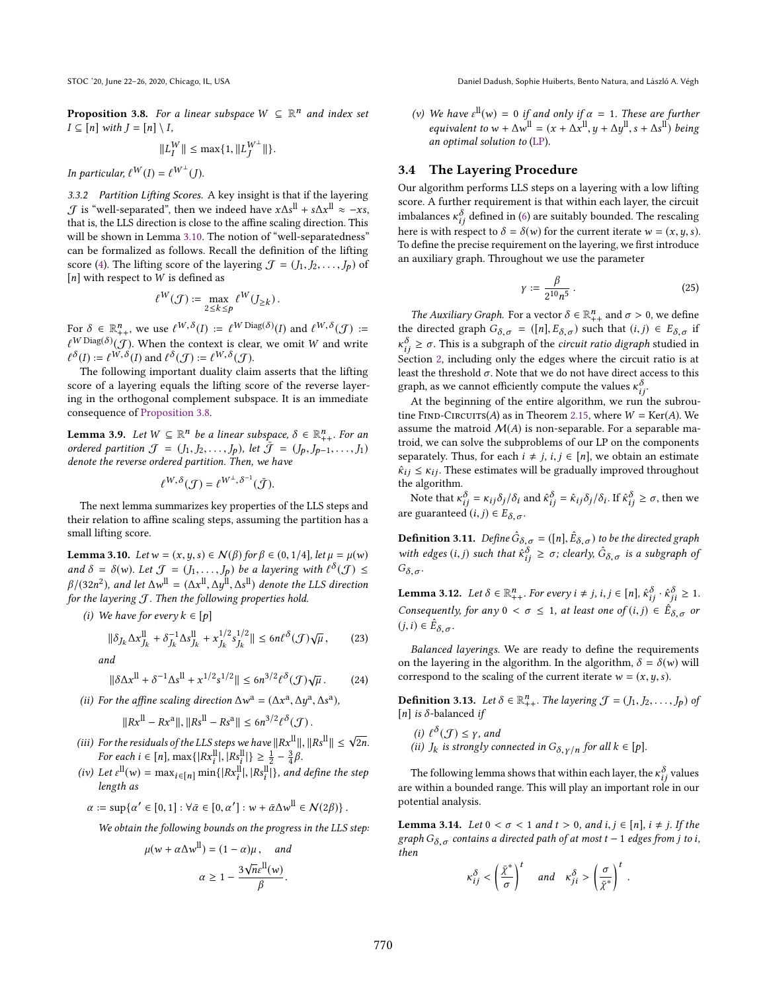STOC '20, June 22–26, 2020, Chicago, IL, USA Daniel Dadush, Sophie Huiberts, Bento Natura, and László A. Végh

**Proposition 3.8.** For a linear subspace  $W \subseteq \mathbb{R}^n$  and index set  $I \subseteq \text{Inl with } I = \text{Inl} \setminus I$  $I \subseteq [n]$  with  $J = [n] \setminus I$ ,

$$
||L_I^W|| \le \max\{1, ||L_J^{W^{\perp}}||\}.
$$

In particular,  $\ell^W(I) = \ell^{W^{\perp}}(J)$ .

3.3.2 Partition Lifting Scores. A key insight is that if the layering  $\mathcal{J}$  is "well-separated", then we indeed have  $x\Delta s^{\parallel} + s\Delta x^{\parallel} \approx -xs$ , that is the IIS direction is close to the affine scaling direction. This that is, the LLS direction is close to the affine scaling direction. This will be shown in Lemma 3.10. The notion of "well-separatedness" can be formalized as follows. Recall the definition of the lifting score (4). The lifting score of the layering  $\mathcal{J} = (J_1, J_2, \dots, J_p)$  of  $[n]$  with respect to W is defined as

$$
\ell^W(\mathcal{J}) \coloneqq \max_{2 \leq k \leq p} \ell^W(J_{\geq k}).
$$

For  $\delta \in \mathbb{R}^n_+$ , we use  $\ell^{W,\delta}(I) := \ell^{W \operatorname{Diag}(\delta)}(I)$  and  $\ell^{W,\delta}(J) := \ell^W \operatorname{Diag}(\delta)_{\ell}(\mathcal{I})$ . When the content is clear we emit W and write  $\ell^{W \text{ Diag}(\delta)}(\mathcal{J})$ . When the context is clear, we omit W and write  $\ell^{\delta}(I) := \ell^{W,\delta}(I)$  and  $\ell^{\delta}(\mathcal{J}) := \ell^{W,\delta}(\mathcal{J}).$ <br>The following important duality claim

The following important duality claim asserts that the lifting score of a layering equals the lifting score of the reverse layering in the orthogonal complement subspace. It is an immediate consequence of Proposition 3.8.

**Lemma 3.9.** Let  $W \subseteq \mathbb{R}^n$  be a linear subspace,  $\delta \in \mathbb{R}^n_{++}$ . For an ordered partition  $\mathcal{T} = (L, L, L)$  let  $\overline{\mathcal{T}} = (L, L, L)$ ordered partition  $\mathcal{J} = (J_1, J_2, \ldots, J_p)$ , let  $\bar{\mathcal{J}} = (J_p, J_{p-1}, \ldots, J_1)$ denote the reverse ordered partition. Then, we have

$$
\ell^{W,\delta}(\mathcal{J}) = \ell^{W^\perp,\delta^{-1}}(\bar{\mathcal{J}}).
$$

The next lemma summarizes key properties of the LLS steps and their relation to affine scaling steps, assuming the partition has a small lifting score.

**Lemma 3.10.** Let  $w = (x, y, s) \in N(\beta)$  for  $\beta \in (0, 1/4]$ , let  $\mu = \mu(w)$ and  $\delta = \delta(w)$ . Let  $\mathcal{J} = (J_1, \ldots, J_p)$  be a layering with  $\ell^{\delta}(\mathcal{J}) \leq$  $β/(32n^2)$ , and let  $Δw$ <sup>ll</sup> =  $(Δx$ <sup>ll</sup>,  $Δy$ <sup>ll</sup>,  $Δs$ <sup>ll</sup>) denote the LLS direction for the layering *T*. Then the following properties hold for the layering  $J$ . Then the following properties hold.

(i) We have for every  $k \in [p]$ 

$$
\|\delta_{J_k}\Delta x_{J_k}^{\mathrm{ll}} + \delta_{J_k}^{-1}\Delta s_{J_k}^{\mathrm{ll}} + x_{J_k}^{1/2}s_{J_k}^{1/2}\| \le 6n\ell^{\delta}(\mathcal{J})\sqrt{\mu},\tag{23}
$$

and

$$
\|\delta \Delta x^{ll} + \delta^{-1} \Delta s^{ll} + x^{1/2} s^{1/2} \| \le 6n^{3/2} \ell^{\delta}(\mathcal{J}) \sqrt{\mu}.
$$
 (24)

(ii) For the affine scaling direction  $\Delta w^a = (\Delta x^a)$  $\frac{1}{2}$ a  $\ddot{\phantom{1}}$ a ),

$$
||Rx^{ll} - Rx^{a}||, ||Rs^{ll} - Rs^{a}|| \le 6n^{3/2} \ell^{\delta}(\mathcal{J}).
$$

- (iii) For the residuals of the LLS steps we have  $||Rx^{\text{ll}}||, ||Rs^{\text{ll}}|| \leq \sqrt{2n}$ .<br>For each  $i \in [n] \max_{\text{ll}} (||Px^{\text{ll}}||, ||Bx^{\text{ll}}||) \leq 1 3$  *R* For each  $i \in [n]$ ,  $\max\{|Rx_i^{\text{ll}}|, |Rs_i^{\text{ll}}|\} \ge \frac{1}{2} - \frac{3}{4}\beta$ .
- (iv) Let  $\varepsilon^{\text{ll}}(w) = \max_{i \in [n]} \min\{|Rx_i^{\text{ll}}|, |Rs_i^{\text{ll}}|\}$ , and define the step length as

$$
\alpha := \sup \{ \alpha' \in [0,1] : \forall \bar{\alpha} \in [0, \alpha'] : w + \bar{\alpha} \Delta w^{\parallel} \in \mathcal{N}(2\beta) \}.
$$

We obtain the following bounds on the progress in the LLS step:

$$
\mu(w + \alpha \Delta w^{\text{II}}) = (1 - \alpha)\mu, \text{ and}
$$

$$
\alpha \ge 1 - \frac{3\sqrt{n}\varepsilon^{\text{II}}(w)}{\beta}.
$$

(v) We have  $\varepsilon^{ll}(w) = 0$  if and only if  $\alpha = 1$ . These are further<br>equivalent to  $w + \Delta w^{ll} = (x + \Delta w^{ll} - w + \Delta w^{ll} - \Delta w^{ll})$  being equivalent to  $w + \Delta w^{\text{II}} = (x + \Delta x^{\text{II}}, y + \Delta y^{\text{II}}, s + \Delta s^{\text{II}})$  being an optimal solution to (LP).

#### 3.4 The Layering Procedure

Our algorithm performs LLS steps on a layering with a low lifting score. A further requirement is that within each layer, the circuit imbalances  $\kappa_{ij}^{\delta}$  defined in (6) are suitably bounded. The rescaling here is with respect to  $\delta = \delta(w)$  for the current iterate  $w = (x, y, s)$ here is with respect to  $\delta = \delta(w)$  for the current iterate  $w = (x, y, s)$ . To define the precise requirement on the layering, we first introduce an auxiliary graph. Throughout we use the parameter

$$
\gamma := \frac{\beta}{2^{10}n^5} \,. \tag{25}
$$

The Auxiliary Graph. For a vector  $\delta \in \mathbb{R}_{++}^n$  and  $\sigma > 0$ , we define<br>the directed graph  $G_0 = ( [n] F_0)$  such that  $(i, i) \in F_0$  if the directed graph  $G_{\delta, \sigma} = ([n], E_{\delta, \sigma})$  such that  $(i, j) \in E_{\delta, \sigma}$  if  $\epsilon_{ij}$  =  $\epsilon_{ij}$  =  $\epsilon_{ij}$  =  $\epsilon_{ij}$  =  $\epsilon_{ij}$  =  $\epsilon_{ij}$  =  $\epsilon_{ij}$  =  $\epsilon_{ij}$  =  $\epsilon_{ij}$  =  $\epsilon_{ij}$  =  $\epsilon_{ij}$  =  $\epsilon_{ij}$  =  $\epsilon_{ij}$  =  $\epsilon_{ij}$  =  $\epsilon_{ij}$  =  $\epsilon_{ij}$  =  $\epsilon_{ij}$  =  $\epsilon_{ij}$  =  $\epsilon_{ij}$  =  $\epsilon_{ij}$  =  $\epsilon_{ij}$  =  $\epsilon_{ij}$  =  $\delta_i \geq \sigma$ . This is a subgraph of the *circuit ratio digraph* studied in *ection* 2 including only the edges where the circuit ratio is at least the threshold  $\sigma$ . Note that we do not have direct access to this graph, as we cannot efficiently compute the values  $\kappa_{ij}^{\delta}$ .<br>At the beginning of the entire algorithm we run is

At the beginning of the entire algorithm, we run the subroutine FIND-CIRCUITS(A) as in Theorem 2.15, where  $W = \text{Ker}(A)$ . We assume the matroid  $M(A)$  is non-separable. For a separable matroid, we can solve the subproblems of our LP on the components separately. Thus, for each  $i \neq j$ ,  $i, j \in [n]$ , we obtain an estimate  $\hat{\kappa}_{ij} \leq \kappa_{ij}$ . These estimates will be gradually improved throughout the algorithm.

Note that  $\kappa_{ij}^{\delta} = \kappa_{ij} \delta_j / \delta_i$  and  $\hat{\kappa}_{ij}^{\delta} = \hat{\kappa}_{ij} \delta_j / \delta_i$ . If  $\hat{\kappa}_{ij}^{\delta} \ge \sigma$ , then we guaranteed  $(i, j) \in F_s$ . are guaranteed  $(i, j) \in E_{\delta, \sigma}$ .

**Definition 3.11.** Define  $\hat{G}_{\delta,\sigma} = ([n], \hat{E}_{\delta,\sigma})$  to be the directed graph with edges  $(i, j)$  such that  $\hat{\kappa}_{ij}^{\delta} \ge \sigma$ ; clearly,  $\hat{G}_{\delta, \sigma}$  is a subgraph of  $G_{\delta, \sigma}$ .

**Lemma 3.12.** Let  $\delta \in \mathbb{R}_{++}^n$ . For every  $i \neq j$ ,  $i, j \in [n]$ ,  $\hat{\kappa}_{ij}^{\delta} \cdot \hat{\kappa}_{ji}^{\delta} \geq 1$ .<br>Consequently, for any  $0 \leq \delta \leq 1$ , at least ang of  $(i, j) \in \hat{E}$ , and Consequently, for any  $0 < \sigma \le 1$ , at least one of  $(i, j) \in \hat{E}_{\delta, \sigma}$  or  $(j,i) \in \mathring{E}_{\delta,\sigma}.$ 

Balanced layerings. We are ready to define the requirements on the layering in the algorithm. In the algorithm,  $\delta = \delta(w)$  will correspond to the scaling of the current iterate  $w = (x, y, s)$ .

**Definition 3.13.** Let  $\delta \in \mathbb{R}_{++}^n$ . The layering  $\mathcal{J} = (J_1, J_2, \ldots, J_p)$  of  $[n]$  is  $\delta$ -balanced if [n] is  $\delta$ -balanced if

(i)  $\ell^{\delta}(\mathcal{J}) \leq \gamma$ , and<br>(ii) L is strongly co (ii)  $J_k$  is strongly connected in  $G_{\delta, \gamma/n}$  for all  $k \in [p]$ .

The following lemma shows that within each layer, the  $\kappa_{ij}^{\delta}$  values<br>within a bounded range. This will play an important role in our are within a bounded range. This will play an important role in our potential analysis.

**Lemma 3.14.** Let  $0 < \sigma < 1$  and  $t > 0$ , and  $i, j \in [n]$ ,  $i \neq j$ . If the graph  $G_{\delta, \sigma}$  contains a directed path of at most t – 1 edges from j to i, then

$$
\kappa_{ij}^{\delta} < \left(\frac{\bar{\chi}^*}{\sigma}\right)^t \quad \text{and} \quad \kappa_{ji}^{\delta} > \left(\frac{\sigma}{\bar{\chi}^*}\right)^t
$$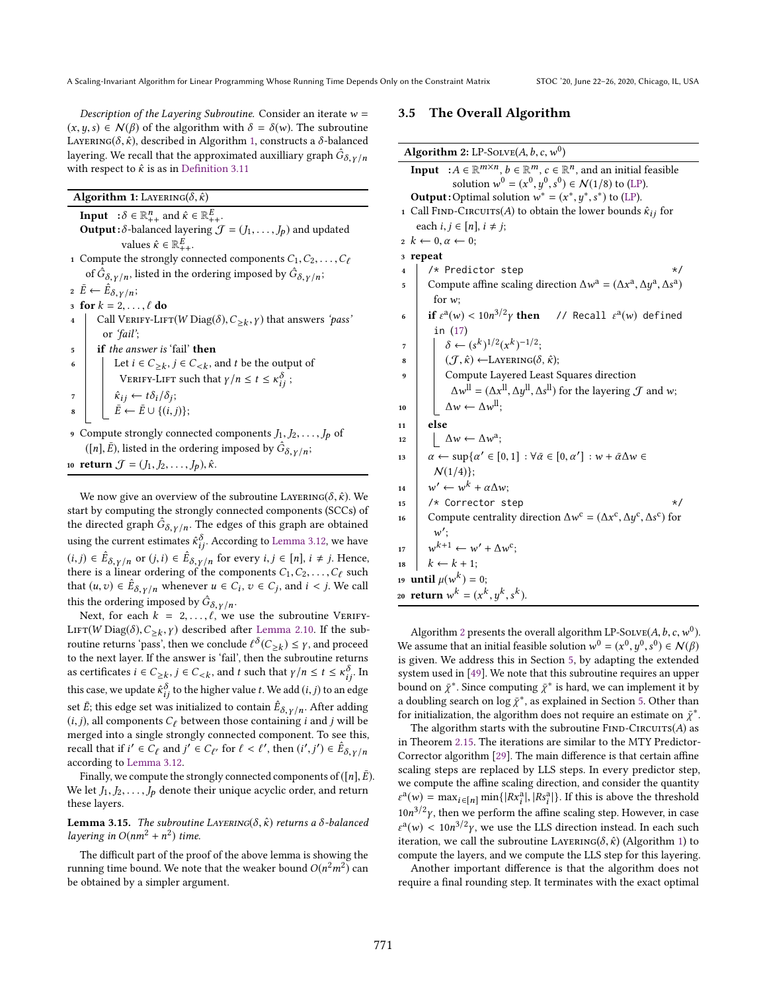Description of the Layering Subroutine. Consider an iterate  $w =$  $(x, y, s) \in \mathcal{N}(\beta)$  of the algorithm with  $\delta = \delta(w)$ . The subroutine LAYERING( $\delta, \hat{\kappa}$ ), described in Algorithm 1, constructs a  $\delta$ -balanced layering. We recall that the approximated auxilliary graph  $\hat{G}_{\delta, \gamma/n}$ <br>with respect to  $\hat{\epsilon}$  is as in Definition 3.11 with respect to  $\hat{\kappa}$  is as in Definition 3.11

| Algorithm 1: LAYERING( $\delta, \hat{\kappa}$ ) |  |
|-------------------------------------------------|--|
|                                                 |  |

**Input**  $: \delta \in \mathbb{R}_{++}^n$  and  $\hat{\kappa} \in \mathbb{R}_{++}^E$ .<br>Output:  $\delta$ -balanced layering *A* **Output**:  $\delta$ -balanced layering  $\mathcal{J} = (J_1, \ldots, J_p)$  and updated values  $\hat{\kappa} \in \mathbb{R}_{++}^E$ .<br>the strongly con-

- 1 Compute the strongly connected components  $C_1, C_2, \ldots, C_\ell$ of  $\hat{G}_{\delta,\gamma/n}$ , listed in the ordering imposed by  $\hat{G}_{\delta,\gamma/n}$ ;
- 2  $\bar{E} \leftarrow \hat{E}_{\delta, \gamma/n};$

$$
3 \text{ for } k = 2, \dots, \ell \text{ do}
$$

- 4 Call VERIFY-LIFT(W Diag( $\delta$ ),  $C_{\geq k}$ ,  $\gamma$ ) that answers 'pass'<br>or 'fail'. or 'fail';
- $\begin{array}{c} \texttt{5} \\ \texttt{ii} \end{array}$  if the answer is 'fail' then
- 6 Let  $i \in C_{\geq k}$ ,  $j \in C_{\leq k}$ , and t be the output of VERIFY-LIFT such that  $\gamma/n \le t \le \kappa_{ij}^{\delta}$ ;

$$
\hat{\kappa}_{ij} \leftarrow t\delta_i/\delta_j;
$$

$$
8 \quad \boxed{\quad \vec{E} \leftarrow \vec{E} \cup \{(i,j)\};}
$$

9 Compute strongly connected components  $J_1, J_2, \ldots, J_p$  of ([n],  $\bar{E}$ ), listed in the ordering imposed by  $\hat{G}_{\delta, \gamma/n}$ ;

10 return  $\mathcal{J} = (J_1, J_2, \ldots, J_p), \hat{\kappa}.$ 

We now give an overview of the subroutine LAYERING( $\delta$ ,  $\hat{\kappa}$ ). We start by computing the strongly connected components (SCCs) of the directed graph  $\hat{G}_{\delta,\gamma/n}$ . The edges of this graph are obtained<br>weight become to time to  $\hat{\delta}$ , according to I graph are also we have using the current estimates  $\hat{\kappa}_{ij}^{\delta}$ . According to Lemma 3.12, we have  $(i, j) \in \hat{E}_{\delta, \gamma/n}$  or  $(j, i) \in \hat{E}_{\delta, \gamma/n}$  for every  $i, j \in [n]$ ,  $i \neq j$ . Hence, there is a linear ordering of the components  $C_1, C_2, C_3$  such there is a linear ordering of the components  $C_1, C_2, \ldots, C_\ell$  such that  $(u, v) \in \mathbb{R}$ , whenever  $u \in C$ ,  $v \in C$ , and  $i \lt i$  We call that  $(u, v) \in \hat{E}_{\delta, \gamma/n}$  whenever  $u \in C_i$ ,  $v \in C_j$ , and  $i < j$ . We call this the ordering imposed by  $\hat{G}_{\delta, \gamma/n}$ .

Next, for each  $k = 2, ..., \ell$ , we use the subroutine VERIFY-LIFT(W Diag( $\delta$ ),  $C_{\geq k}$ ,  $\gamma$ ) described after Lemma 2.10. If the sub-<br>routing returns 'noge', then we conclude  $\ell^{\delta}(C, \cdot) \leq \gamma$  and proceed routine returns 'pass', then we conclude  $\ell^{\delta}(C_{\geq k}) \leq \gamma$ , and proceed<br>to the next layer. If the answer is 'fail', then the subroutine returns to the next layer. If the answer is 'fail', then the subroutine returns as certificates  $i \in C_{\geq k}$ ,  $j \in C_{\leq k}$ , and t such that  $\gamma/n \leq t \leq \kappa_0^{\delta}$ . In this case, we update  $\hat{\kappa}_{ij}^{\delta}$  to the higher value t. We add  $(i, j)$  to an edge<br>ant  $\bar{\kappa}_{i}$  this adde ant use initialized to agentsive  $\hat{\kappa}_{i}$  . After adding set  $\vec{E}$ ; this edge set was initialized to contain  $\hat{E}_{\delta,\gamma/n}$ . After adding  $(i, i)$  all components  $C_{\delta}$  between those containing  $i$  and  $i$  will be  $(i, j)$ , all components  $C_{\ell}$  between those containing *i* and *j* will be merged into a single strongly connected component. To see this, recall that if  $i' \in C_{\ell}$  and  $j' \in C_{\ell'}$  for  $\ell < \ell'$ , then  $(i'$  $\ddot{\phantom{a}}$  $y \in \hat{E}_{\delta, \gamma/n}$ according to Lemma 3.12.

Finally, we compute the strongly connected components of ([n],  $\bar{E}$ ). We let  $J_1, J_2, \ldots, J_p$  denote their unique acyclic order, and return these layers.

**Lemma 3.15.** The subroutine LAYERING( $\delta$ ,  $\hat{\kappa}$ ) returns a  $\delta$ -balanced layering in  $O(nm^2 + n^2)$  time.

The difficult part of the proof of the above lemma is showing the running time bound. We note that the weaker bound  $O(n^2m^2)$  can<br>be obtained by a simpler argument be obtained by a simpler argument.

### 3.5 The Overall Algorithm

| <b>Algorithm 2:</b> LP-SOLVE(A, b, c, $w^0$ )                                                                                                      |  |  |
|----------------------------------------------------------------------------------------------------------------------------------------------------|--|--|
| : $A \in \mathbb{R}^{m \times n}$ , $b \in \mathbb{R}^{m}$ , $c \in \mathbb{R}^{n}$ , and an initial feasible<br>Input                             |  |  |
| solution $w^0 = (x^0, y^0, s^0) \in \mathcal{N}(1/8)$ to (LP).                                                                                     |  |  |
| <b>Output:</b> Optimal solution $w^* = (x^*, y^*, s^*)$ to (LP).                                                                                   |  |  |
| 1 Call FIND-CIRCUITS(A) to obtain the lower bounds $\hat{\kappa}_{ij}$ for                                                                         |  |  |
| each $i, j \in [n], i \neq j$ ;                                                                                                                    |  |  |
| $2 \; k \leftarrow 0, \alpha \leftarrow 0;$                                                                                                        |  |  |
| 3 repeat                                                                                                                                           |  |  |
| /* Predictor step<br>$\star/$<br>$\overline{\mathbf{4}}$                                                                                           |  |  |
| Compute affine scaling direction $\Delta w^a = (\Delta x^a, \Delta y^a, \Delta s^a)$<br>5                                                          |  |  |
| for $w$ :                                                                                                                                          |  |  |
| if $\varepsilon^{\rm a}(w) < 10n^{3/2}\gamma$ then // Recall $\varepsilon^{\rm a}(w)$ defined<br>6                                                 |  |  |
| in $(17)$                                                                                                                                          |  |  |
| $\delta \leftarrow (s^k)^{1/2} (x^k)^{-1/2};$<br>7                                                                                                 |  |  |
| $(\mathcal{J}, \hat{\kappa}) \leftarrow \text{LAYERING}(\delta, \hat{\kappa});$<br>8                                                               |  |  |
| Compute Layered Least Squares direction<br>9                                                                                                       |  |  |
| $\Delta w^{\text{ll}} = (\Delta x^{\text{ll}}, \Delta y^{\text{ll}}, \Delta s^{\text{ll}})$ for the layering $\mathcal J$ and w;                   |  |  |
| $\Delta w \leftarrow \Delta w^{\text{ll}};$<br>10                                                                                                  |  |  |
| else<br>11                                                                                                                                         |  |  |
| $\Delta w \leftarrow \Delta w^a;$<br>12                                                                                                            |  |  |
| $\alpha \leftarrow \sup \{ \alpha' \in [0,1] : \forall \bar{\alpha} \in [0,\alpha'] : \omega + \bar{\alpha} \Delta \omega \in \mathbb{R} \}$<br>13 |  |  |
| $\mathcal{N}(1/4)$ :                                                                                                                               |  |  |
| $w' \leftarrow w^k + \alpha \Delta w$<br>14                                                                                                        |  |  |
| /* Corrector step<br>*/<br>15                                                                                                                      |  |  |
| Compute centrality direction $\Delta w^c = (\Delta x^c, \Delta y^c, \Delta s^c)$ for<br>16                                                         |  |  |
| $w'$ :                                                                                                                                             |  |  |
| $w^{k+1} \leftarrow w' + \Delta w^{c}$<br>17                                                                                                       |  |  |
| $k \leftarrow k + 1$ ;<br>18                                                                                                                       |  |  |
| <b>until</b> $\mu(w^k) = 0$ ;<br>19                                                                                                                |  |  |
| return $w^k = (x^k, y^k, s^k)$ .<br>20                                                                                                             |  |  |
|                                                                                                                                                    |  |  |

Algorithm 2 presents the overall algorithm LP-Solve  $(A, b, c, w^0)$ . We assume that an initial feasible solution  $w^0 = (x^0, y^0, \dot{s}^0) \in \mathcal{N}(\beta)$ <br>is given We address this in Section 5, by adopting the extended is given. We address this in Section 5, by adapting the extended system used in [49]. We note that this subroutine requires an upper bound on  $\bar{\chi}^*$ . Since computing  $\bar{\chi}^*$  is hard, we can implement it by a doubling search on  $\log \bar{\chi}^*$ , as explained in Section 5. Other than<br>for initialization, the algorithm does not require an estimate on  $\bar{\chi}^*$ . for initialization, the algorithm does not require an estimate on  $\bar{\chi}^*$ .<br>The algorithm starts with the subroutine  $\frac{\text{FNN}_2}{\text{FNN}_2}$ 

The algorithm starts with the subroutine  $\text{FIND-}\text{CIRCUITS}(A)$  as in Theorem 2.15. The iterations are similar to the MTY Predictor-Corrector algorithm [29]. The main difference is that certain affine scaling steps are replaced by LLS steps. In every predictor step, we compute the affine scaling direction, and consider the quantity  $10n^{3/2}\gamma$ , then we perform the affine scaling step. However, in case  $a(w) = \max_{i \in [n]} \min\{|Rx_i^a|, |Rs_i^a|\}$ . If this is above the threshold iteration, we call the subroutine  $LAYERING(\delta, \hat{\kappa})$  (Algorithm 1) to compute the layers and we compute the LLS step for this layering  $\int_{0}^{a} (w) < 10n^{3/2} \gamma$ , we use the LLS direction instead. In each such terms we call the subrouting LANERMO( $\delta \hat{\kappa}$ ) (Algorithm 1) to compute the layers, and we compute the LLS step for this layering.

Another important difference is that the algorithm does not require a final rounding step. It terminates with the exact optimal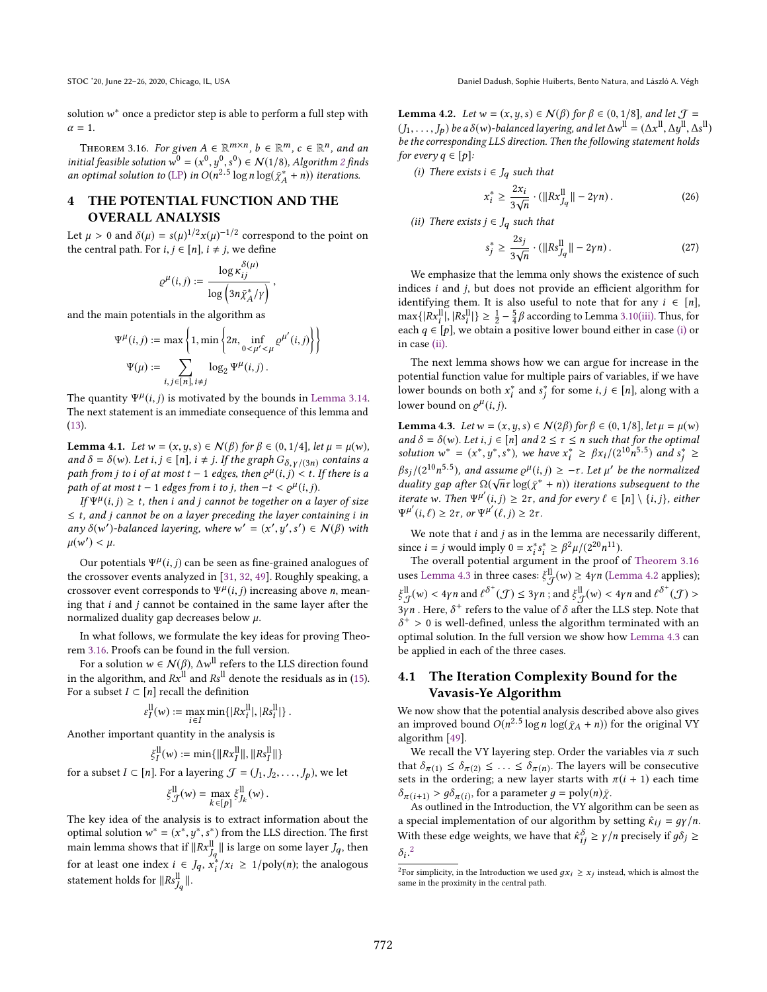solution  $w^*$  once a predictor step is able to perform a full step with  $\alpha = 1$  $\alpha = 1$ .

THEOREM 3.16. For given  $A \in \mathbb{R}^{m \times n}$ ,  $b \in \mathbb{R}^m$ ,  $c \in \mathbb{R}^n$ , and an <br>tial feasible solution  $v^0 = (x^0, y^0, c^0) \in N(1/8)$ . Algorithm 2 finds initial feasible solution  $\mathbf{w}^0 = (\mathbf{x}^0, y^0, \mathbf{s}^0) \in \mathcal{N}(1/8)$ , Algorithm 2 finds<br>an optimal solution to (LP) in  $O(n^{2.5} \log n \log(\bar{v}^* + n))$  iterations an optimal solution to (LP) in  $O(n^{2.5} \log n \log(\bar{\chi}_A^* + n))$  iterations.

# THE POTENTIAL FUNCTION AND THE OVERALL ANALYSIS

Let  $\mu > 0$  and  $\delta(\mu) = s(\mu)^{1/2} x(\mu)^{-1/2}$  correspond to the point on the control path. For  $i, i \in [n]$  i  $\neq i$  we define the central path. For  $i, j \in [n]$ ,  $i \neq j$ , we define

$$
\varrho^\mu(i,j) := \frac{\log \kappa_{ij}^{\delta(\mu)}}{\log \left(3n\bar{\chi}_A^*/\gamma\right)},
$$

and the main potentials in the algorithm as

$$
\Psi^{\mu}(i,j) := \max \left\{ 1, \min \left\{ 2n, \inf_{0 \le \mu' \le \mu} \varrho^{\mu'}(i,j) \right\} \right\}
$$

$$
\Psi(\mu) := \sum_{i,j \in [n], i \ne j} \log_2 \Psi^{\mu}(i,j).
$$

The quantity  $\Psi^{\mu}(i, j)$  is motivated by the bounds in Lemma 3.14.<br>The next statement is an immediate consequence of this lemma and The next statement is an immediate consequence of this lemma and (13).

**Lemma 4.1.** Let  $w = (x, y, s) \in N(\beta)$  for  $\beta \in (0, 1/4]$ , let  $\mu = \mu(w)$ , and  $\delta = \delta(w)$ . Let  $i, j \in [n]$ ,  $i \neq j$ . If the graph  $G_{\delta, \gamma/(3n)}$  contains a path from i to i of at most  $t - 1$  edges then  $g^{\mu}(i, j) \leq t$ . If there is a path from j to i of at most  $t - 1$  edges, then  $e^{\mu}(i, j) < t$ . If there is a path of at most  $t - 1$  edges from i to i then  $-t < e^{\mu}(i, j)$ path of at most  $t - 1$  edges from i to j, then  $-t < \varrho^{\mu}(i, j)$ .<br>
If  $\Psi^{\mu}(i, j) > t$ , then i and i cannot be together on a le

If  $\Psi^{\mu}(i, j) \geq t$ , then i and j cannot be together on a layer of size<br>t, and i cannot be an a layer preceding the layer containing i in  $\leq t$ , and j cannot be on a layer preceding the layer containing i in any  $\delta(w')$ -balanced layering, where  $w' = (x'$  $\ddot{\phantom{0}}$ ′  $\overline{\phantom{a}}$  $\gamma \in N(\beta)$  with  $\mu(w') < \mu$ .

Our potentials  $\Psi^{\mu}(i, j)$  can be seen as fine-grained analogues of crossover events analyzed in [31, 32, 49]. Poughly speaking a the crossover events analyzed in [31, 32, 49]. Roughly speaking, a crossover event corresponds to  $\Psi^{\mu}(i, j)$  increasing above *n*, mean-<br>ing that *i* and *i* cannot be contained in the same layer after the ing that  $i$  and  $j$  cannot be contained in the same layer after the normalized duality gap decreases below  $\mu$ .

In what follows, we formulate the key ideas for proving Theorem 3.16. Proofs can be found in the full version.

For a solution  $w \in \mathcal{N}(\beta)$ ,  $\Delta w^{\text{ll}}$  refers to the LLS direction found<br>the algorithm, and  $P_x^{\text{ll}}$  and  $P_y^{\text{ll}}$  denote the residuals as in (15) in the algorithm, and  $Rx^{\parallel}$  and  $Rs^{\parallel}$  denote the residuals as in (15). For a subset  $I \subset [n]$  recall the definition

$$
\varepsilon_I^{\text{ll}}(w):=\max_{i\in I}\min\{|Rx_i^{\text{ll}}|,|Rs_i^{\text{ll}}|\}\;.
$$

Another important quantity in the analysis is

$$
\xi_I^{\text{ll}}(w) := \min\{\|Rx_I^{\text{ll}}\|, \|Rs_I^{\text{ll}}\|\}
$$

for a subset  $I \subset [n]$ . For a layering  $\mathcal{J} = (J_1, J_2, \dots, J_p)$ , we let

$$
\xi_{\mathcal{J}}^{\text{ll}}(w) = \max_{k \in [p]} \xi_{J_k}^{\text{ll}}(w) \, .
$$

The key idea of the analysis is to extract information about the optimal solution  $w^* = (x^*, y^*, s^*)$  from the LLS direction. The first<br>main lamma shows that if  $||p_x||$  ii is large on some lawer *I* than main lemma shows that if  $||Rx_{Jq}^{||}||$  is large on some layer  $Jq$ , then<br>for at least one index  $i \in I$ ,  $x^* / x_1 > 1$  (nolv(n); the enclose use for at least one index  $i \in J_q$ ,  $x_i^*$  $\int_{i}^{\pi}/x_i \geq 1/\text{poly}(n)$ ; the analogous statement holds for  $\|Rs_{J_q}^{\text{ll}}\|$ ∥.

**Lemma 4.2.** Let  $w = (x, y, s) \in N(\beta)$  for  $\beta \in (0, 1/8]$ , and let  $\mathcal{J} =$  $(J_1, \ldots, J_p)$  be a  $\delta(w)$ -balanced layering, and let  $\Delta w^{\text{II}} = (\Delta x^{\text{II}}, \Delta y^{\text{II}}, \Delta s^{\text{II}})$ <br>be the corresponding LS direction. Then the following statement holds  $\overline{\mathcal{L}}$  be the corresponding LLS direction. Then the following statement holds for every  $q \in [p]$ :

(i) There exists  $i \in J_q$  such that

$$
x_i^* \ge \frac{2x_i}{3\sqrt{n}} \cdot (\|Rx_{J_q}^{\text{ll}}\| - 2\gamma n). \tag{26}
$$

(ii) There exists  $j \in J_q$  such that

$$
s_j^* \ge \frac{2s_j}{3\sqrt{n}} \cdot (\|Rs_{J_q}^{\text{ll}} \| - 2\gamma n). \tag{27}
$$

n We emphasize that the lemma only shows the existence of such indices i and j, but does not provide an efficient algorithm for identifying them. It is also useful to note that for any  $i \in [n]$ ,  $\max\{|Rx_1^{\text{II}}|, |Rs_1^{\text{II}}|\} \ge \frac{1}{2} - \frac{5}{4}\beta$  according to Lemma 3.10(iii). Thus, for each  $q \in [p]$ , we obtain a positive lower bound either in case (i) or<br>in case (ii) in case (ii).

The next lemma shows how we can argue for increase in the potential function value for multiple pairs of variables, if we have lower bounds on both  $x_i^*$  and  $s_j^*$  for some  $i, j \in [n]$ , along with a lower bound on  $s^{i}(i, j)$ j lower bound on  $\varrho^{\mu}(i,j)$ .

**Lemma 4.3.** *Let*  $w = (x, y, s) ∈ N(2β)$  for  $β ∈ (0, 1/8]$ , *let*  $μ = μ(w)$ and  $\delta = \delta(w)$ . Let  $i, j \in [n]$  and  $2 \leq \tau \leq n$  such that for the optimal solution  $w^* = (x^*, y^*, s^*)$ , we have  $x_i^* \ge \beta x_i/(2^{10}n^{5.5})$  and  $s_j^* \ge$ <br> $\beta x_i/(2^{10}n^{5.5})$  $\beta s_j/(2^{10}n^{5.5})$ , and assume  $\varrho^{\mu}(i,j) \ge -\tau$ . Let  $\mu'$  be the normalized<br>duality gap after  $O(\sqrt{n}\tau \log(\bar{v}^* + n))$  iterations subsequent to the duality gap after  $\Omega(\sqrt{n}\tau \log(\tilde{\chi}^* + n))$  iterations subsequent to the iteration. Then  $W^{\mu'}(i, i) > 2\tau$  and for every  $\ell \in [n] \setminus \{i, j\}$  either iterate w. Then  $\Psi^{\mu'}(i, j) \geq 2\tau$ , and for every  $\ell \in [n] \setminus \{i, j\}$ , either  $\Psi^{\mu'}(i, \ell) > 2\tau$ , or  $\Psi^{\mu'}(\ell, i) > 2\tau$  $^{\mu'}(i,\ell) \geq 2\tau$ , or  $\Psi^{\mu'}(\ell,j) \geq 2\tau$ .

We note that  $i$  and  $j$  as in the lemma are necessarily different, since  $i = j$  would imply  $0 = x_i^* s_i^* \ge \frac{\beta^2 \mu}{2^0 n^{11}}$ .<br>The overall potential argument in the proof

The overall potential argument in the proof of Theorem 3.16 uses Lemma 4.3 in three cases:  $\xi_{\mathcal{G}}^{\text{ll}}$  $\frac{11}{3}$ (w) ≥ 4γ*n* (Lemma 4.2 applies);  $3y$  . Here,  $\delta^+$  refers to the value of  $\delta$  after the LLS step. Note that  $\delta^+ > 0$  is well-defined unless the algorithm terminated with an ll  $\mathcal{L}^{ll}_{\mathcal{J}}(w) < 4\gamma n$  and  $\ell^{\delta^+}(\mathcal{J}) \leq 3\gamma n$ ; and  $\mathcal{L}^{ll}_{\mathcal{J}}$  $\frac{11}{\mathcal{J}}(w) < 4\gamma n$  and  $\ell^{\delta^+}(\mathcal{J}) >$ optimal solution. In the full version we show how Lemma 4.3 can  $+\frac{1}{x}$  > 0 is well-defined, unless the algorithm terminated with an ntimal solution. In the full version we show how I emma 4.3 can be applied in each of the three cases.

# 4.1 The Iteration Complexity Bound for the Vavasis-Ye Algorithm

We now show that the potential analysis described above also gives an improved bound  $O(n^{2.5} \log n \log(\bar{\chi}_A + n))$  for the original VY algorithm [49].

We recall the VY layering step. Order the variables via  $\pi$  such that  $\delta_{\pi(1)} \leq \delta_{\pi(2)} \leq \ldots \leq \delta_{\pi(n)}$ . The layers will be consecutive sets in the ordering: a new layer starts with  $\pi(i + 1)$  each time sets in the ordering; a new layer starts with  $\pi(i + 1)$  each time  $\delta_{\pi(i+1)} > g \delta_{\pi(i)}$ , for a parameter  $g = \text{poly}(n)\bar{\chi}$ .<br>As outlined in the Introduction, the VY algor

As outlined in the Introduction, the VY algorithm can be seen as a special implementation of our algorithm by setting  $\hat{\kappa}_{ij} = g\gamma/n$ . With these edge weights, we have that  $\hat{\kappa}_{ij}^{\delta} \ge \gamma/n$  precisely if  $g\delta_j \ge$ . 2

 $\frac{1}{2}$ For simplicity, in the Introduction we used  $gx_i \geq x_j$  instead, which is almost the same in the provinity in the central path same in the proximity in the central path.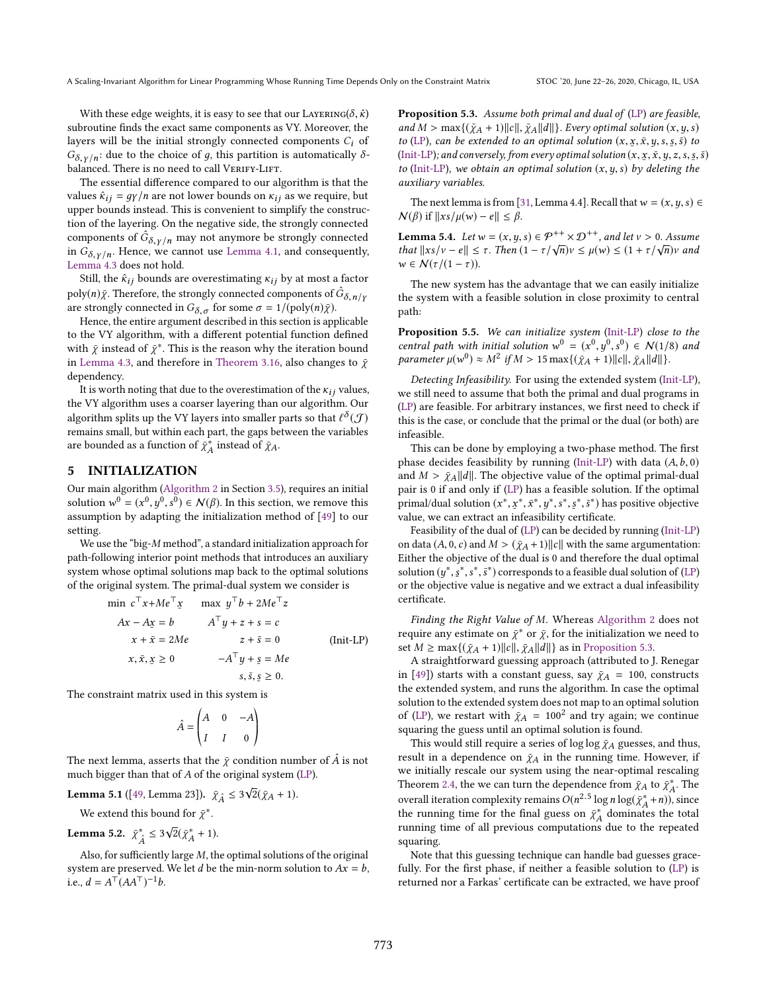With these edge weights, it is easy to see that our LAYERING( $\delta, \hat{\kappa}$ ) subroutine finds the exact same components as VY. Moreover, the layers will be the initial strongly connected components  $C_i$  of  $G_{\delta, \nu/n}$ : due to the choice of g, this partition is automatically  $\delta$ balanced. There is no need to call VERIFY-LIFT.

The essential difference compared to our algorithm is that the values  $\hat{\kappa}_{ij} = g\gamma/n$  are not lower bounds on  $\kappa_{ij}$  as we require, but upper bounds instead. This is convenient to simplify the construction of the layering. On the negative side, the strongly connected components of  $\hat{G}_{\delta, \gamma/n}$  may not anymore be strongly connected<br>in  $G_{\delta}$ , Hence, we cannot use Lemma 4.1 and consequently in  $G_{\delta, \gamma/n}$ . Hence, we cannot use Lemma 4.1, and consequently, Lemma 4.3 does not hold.

Still, the  $\hat{\kappa}_{ij}$  bounds are overestimating  $\kappa_{ij}$  by at most a factor poly(n)  $\bar{\chi}$ . Therefore, the strongly connected components of  $\hat{G}_{\delta,n/\gamma}$ are strongly connected in  $G_{\delta, \sigma}$  for some  $\sigma = 1/(\text{poly}(n)\bar{\chi})$ .

Hence, the entire argument described in this section is applicable to the VY algorithm, with a different potential function defined with  $\bar{\chi}$  instead of  $\bar{\chi}^*$ . This is the reason why the iteration bound<br>in Lamma 4.3, and therefore in Theorem 3.16, also changes to  $\bar{\chi}$ in Lemma 4.3, and therefore in Theorem 3.16, also changes to  $\bar{\chi}$ dependency.

It is worth noting that due to the overestimation of the  $\kappa_{ij}$  values, the VY algorithm uses a coarser layering than our algorithm. Our algorithm splits up the VY layers into smaller parts so that  $\ell^{\delta}(\mathcal{J})$ <br>remains small, but within each part, the gaps between the variables remains small, but within each part, the gaps between the variables are bounded as a function of  $\bar{\chi}_A^*$  instead of  $\bar{\chi}_A$ .

#### 5 INITIALIZATION

Our main algorithm (Algorithm 2 in Section 3.5), requires an initial solution  $w^0 = (x^0, y^0, s^0) \in \mathcal{N}(\beta)$ . In this section, we remove this assumption by adopting the initialization method of [40] to our  $(x, y, y, z)$  is the initialization method of [49] to our setting.

We use the "big-M method", a standard initialization approach for path-following interior point methods that introduces an auxiliary system whose optimal solutions map back to the optimal solutions of the original system. The primal-dual system we consider is

$$
\min c^{\top} x + Me^{\top} x \qquad \max y^{\top} b + 2Me^{\top} z
$$
\n
$$
Ax - Ax = b \qquad A^{\top} y + z + s = c
$$
\n
$$
x + \bar{x} = 2Me \qquad z + \bar{s} = 0 \qquad \text{(Init-LP)}
$$
\n
$$
x, \bar{x}, x \ge 0 \qquad -A^{\top} y + s = Me
$$
\n
$$
s, \bar{s}, \underline{s} \ge 0.
$$
\nThe constraint matrix used in this system is

$$
\hat{A} = \begin{pmatrix} A & 0 & -A \\ I & I & 0 \end{pmatrix}
$$

The next lemma, asserts that the  $\bar{\chi}$  condition number of  $\hat{A}$  is not much bigger than that of A of the original system (LP) much bigger than that of A of the original system (LP).

**Lemma 5.1** ([49, Lemma 23]).  $\bar{\chi}_{\hat{A}} \leq 3\sqrt{2}(\bar{\chi}_{A} + 1)$ .

We extend this bound for  $\bar{\chi}^*$ .

Lemma 5.2.  $\bar{\chi}_{\hat{A}}^* \leq 3\sqrt{2}(\bar{\chi}_{A}^* + 1)$ .

Also, for sufficiently large M, the optimal solutions of the original<br>tem are preserved. We let d be the min-porm solution to  $4x - h$ system are preserved. We let *d* be the min-norm solution to  $Ax = b$ , i.e.,  $d = A^{\top} (A A^{\top})^{-1} b$ .

Proposition 5.3. Assume both primal and dual of (LP) are feasible, and  $M > \max\{(\bar{\chi}_A + 1) ||c||, \bar{\chi}_A ||d||\}$ . Every optimal solution  $(x, y, s)$ to (LP), can be extended to an optimal solution  $(x, \underline{x}, \overline{x}, y, s, \underline{s}, \overline{s})$  to  $\overline{f}$  (Init-I P); and conversely from every optimal solution  $\overline{x}, \overline{x}, \overline{y}, \overline{s}, \overline{s}$  is (Init-LP); and conversely, from every optimal solution  $(x, x, \overline{x}, y, z, s, \overline{s}, \overline{s})$ <br>to (Init-I P), we obtain an optimal solution  $(x, y, s)$  by deleting the to (Init-LP), we obtain an optimal solution  $(x, y, s)$  by deleting the auxiliary variables.

The next lemma is from [31, Lemma 4.4]. Recall that  $w = (x, y, s) \in$  $\mathcal{N}(\beta)$  if  $||xs/\mu(w) - e|| \leq \beta$ .

**Lemma 5.4.** Let  $w = (x, y, s) \in \mathcal{P}^{++} \times \mathcal{D}^{++}$ , and let  $v > 0$ . Assume that  $||x_s(y) - e|| \leq \tau$ . Then  $(1 - \tau/\sqrt{n})y \leq u(w) \leq (1 + \tau/\sqrt{n})y$  and that  $||xs/v - e|| \leq \tau$ . Then  $(1 - \tau/\sqrt{n})v \leq \mu(w) \leq (1 + \tau/\sqrt{n})v$  and  $w \in N(\tau/(1 - \tau))$  $w \in \mathcal{N}(\tau/(1-\tau)).$ 

The new system has the advantage that we can easily initialize the system with a feasible solution in close proximity to central path:

Proposition 5.5. We can initialize system (Init-LP) close to the central path with initial solution  $w^0 = (x^0, y^0, s^0) \in \mathcal{N}(1/8)$  and<br>parameter  $u(x^0) \approx M^2$  if  $M > 15$  may  $(x^0 + 1) ||c|| \approx ||d||$ parameter  $\mu(w^0) \approx M^2$  if  $M > 15$  max $\{(\bar{\chi}_A + 1) || c ||, \bar{\chi}_A || d ||\}.$ 

Detecting Infeasibility. For using the extended system (Init-LP), we still need to assume that both the primal and dual programs in (LP) are feasible. For arbitrary instances, we first need to check if this is the case, or conclude that the primal or the dual (or both) are infeasible.

This can be done by employing a two-phase method. The first phase decides feasibility by running (Init-LP) with data  $(A, b, 0)$ and  $M > \bar{\chi}_A ||d||$ . The objective value of the optimal primal-dual pair is 0 if and only if (LP) has a feasible solution. If the optimal primal/dual solution  $(x^*, \overline{x}^*, \overline{x}^*, y^*, s^*, \overline{s}^*, \overline{s}^*)$  has positive objective<br>value we can extract an infeccibility certificate p-man, while because (i)  $\frac{1}{2}$ ,  $\frac{1}{2}$ ,  $\frac{1}{3}$ ,  $\frac{1}{2}$ ,  $\frac{1}{2}$ ,  $\frac{1}{2}$ ,  $\frac{1}{2}$ ,  $\frac{1}{2}$ ,  $\frac{1}{2}$ ,  $\frac{1}{2}$ ,  $\frac{1}{2}$ ,  $\frac{1}{2}$ ,  $\frac{1}{2}$ ,  $\frac{1}{2}$ ,  $\frac{1}{2}$ ,  $\frac{1}{2}$ ,  $\frac{1}{2}$ ,  $\frac{1}{2}$ ,

Feasibility of the dual of (LP) can be decided by running (Init-LP) on data (A, 0, c) and  $M > (\bar{\chi}_A + 1) ||c||$  with the same argumentation: Either the objective of the dual is 0 and therefore the dual optimal solution  $(y^*, \underline{s}^*, s^*, \overline{s}^*)$  corresponds to a feasible dual solution of (LP)<br>or the objective value is negative and we extract a dual infeasibility or the objective value is negative and we extract a dual infeasibility certificate.

Finding the Right Value of M. Whereas Algorithm 2 does not require any estimate on  $\bar{\chi}^*$  or  $\bar{\chi}$ , for the initialization we need to set  $M > \max\{(\bar{x}_t + 1) ||\alpha||, \bar{x}_t, ||d||\}$  as in Proposition 5.3. set  $M \ge \max\{(\bar{\chi}_A + 1) ||c||, \bar{\chi}_A ||d||\}$  as in Proposition 5.3.

A straightforward guessing approach (attributed to J. Renegar in [49]) starts with a constant guess, say  $\bar{\chi}_A = 100$ , constructs the extended system, and runs the algorithm. In case the optimal solution to the extended system does not map to an optimal solution of (LP), we restart with  $\bar{\chi}_A = 100^2$  and try again; we continue solution is found squaring the guess until an optimal solution is found.

This would still require a series of log log  $\bar{\chi}_A$  guesses, and thus, result in a dependence on  $\bar{\chi}_A$  in the running time. However, if we initially rescale our system using the near-optimal rescaling Theorem 2.4, the we can turn the dependence from  $\bar{\chi}_A$  to  $\bar{\chi}_A^*$ . The overall iteration complexity remains  $O(n^{2.5} \log n \log(\bar{\chi}_A^* + n))$ , since<br>the running time for the final guess on  $\bar{v}_A^*$  dominates the total the running time for the final guess on  $\bar{\chi}^*$  dominates the total<br>running time of all previous computations due to the repeated running time of all previous computations due to the repeated squaring.

Note that this guessing technique can handle bad guesses gracefully. For the first phase, if neither a feasible solution to (LP) is returned nor a Farkas' certificate can be extracted, we have proof